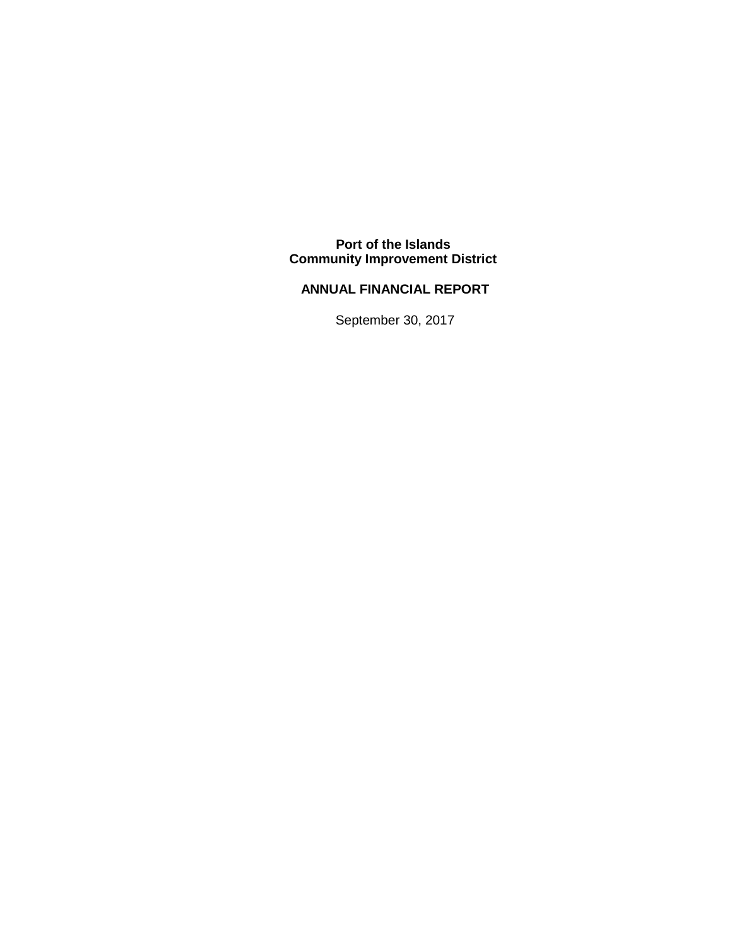**Port of the Islands Community Improvement District**

# **ANNUAL FINANCIAL REPORT**

September 30, 2017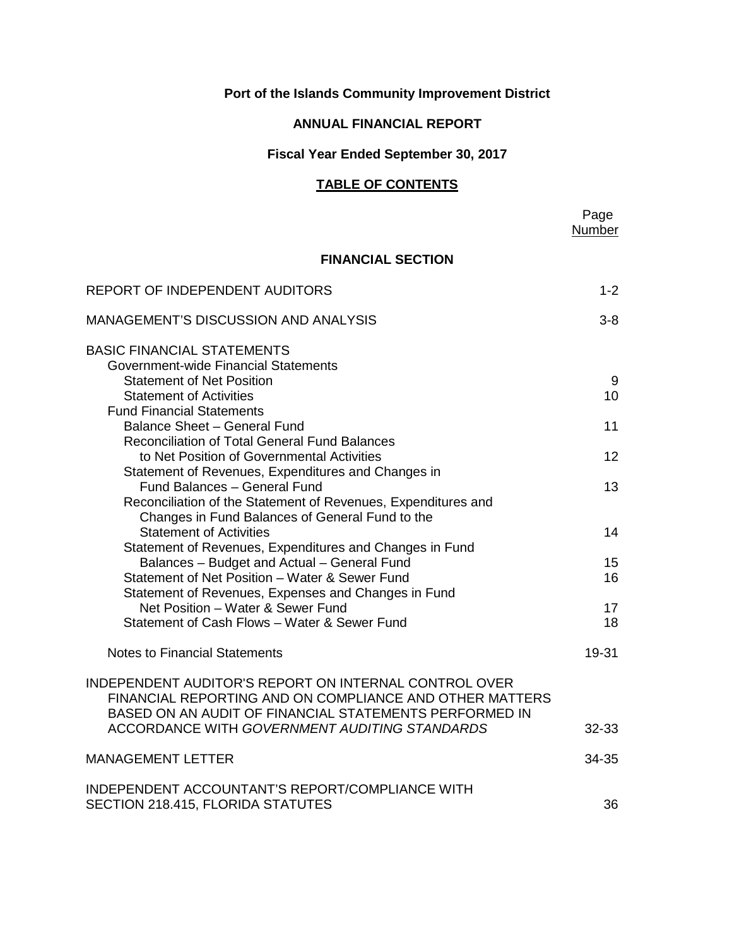# **Port of the Islands Community Improvement District**

# **ANNUAL FINANCIAL REPORT**

# **Fiscal Year Ended September 30, 2017**

## **TABLE OF CONTENTS**

|                                                                                                                                                                                                        | Page<br>Number |
|--------------------------------------------------------------------------------------------------------------------------------------------------------------------------------------------------------|----------------|
| <b>FINANCIAL SECTION</b>                                                                                                                                                                               |                |
| <b>REPORT OF INDEPENDENT AUDITORS</b>                                                                                                                                                                  | $1 - 2$        |
| <b>MANAGEMENT'S DISCUSSION AND ANALYSIS</b>                                                                                                                                                            | $3-8$          |
| <b>BASIC FINANCIAL STATEMENTS</b><br>Government-wide Financial Statements<br><b>Statement of Net Position</b>                                                                                          |                |
| <b>Statement of Activities</b>                                                                                                                                                                         | 9<br>10        |
| <b>Fund Financial Statements</b><br>Balance Sheet - General Fund                                                                                                                                       | 11             |
| <b>Reconciliation of Total General Fund Balances</b><br>to Net Position of Governmental Activities                                                                                                     | 12             |
| Statement of Revenues, Expenditures and Changes in<br>Fund Balances - General Fund<br>Reconciliation of the Statement of Revenues, Expenditures and<br>Changes in Fund Balances of General Fund to the | 13             |
| <b>Statement of Activities</b>                                                                                                                                                                         | 14             |
| Statement of Revenues, Expenditures and Changes in Fund<br>Balances - Budget and Actual - General Fund                                                                                                 | 15             |
| Statement of Net Position - Water & Sewer Fund<br>Statement of Revenues, Expenses and Changes in Fund                                                                                                  | 16             |
| Net Position - Water & Sewer Fund                                                                                                                                                                      | 17             |
| Statement of Cash Flows - Water & Sewer Fund                                                                                                                                                           | 18             |
| <b>Notes to Financial Statements</b>                                                                                                                                                                   | 19-31          |
| INDEPENDENT AUDITOR'S REPORT ON INTERNAL CONTROL OVER<br>FINANCIAL REPORTING AND ON COMPLIANCE AND OTHER MATTERS<br>BASED ON AN AUDIT OF FINANCIAL STATEMENTS PERFORMED IN                             |                |
| ACCORDANCE WITH GOVERNMENT AUDITING STANDARDS                                                                                                                                                          | 32-33          |
| <b>MANAGEMENT LETTER</b>                                                                                                                                                                               | 34-35          |
| INDEPENDENT ACCOUNTANT'S REPORT/COMPLIANCE WITH<br><b>SECTION 218.415, FLORIDA STATUTES</b>                                                                                                            | 36             |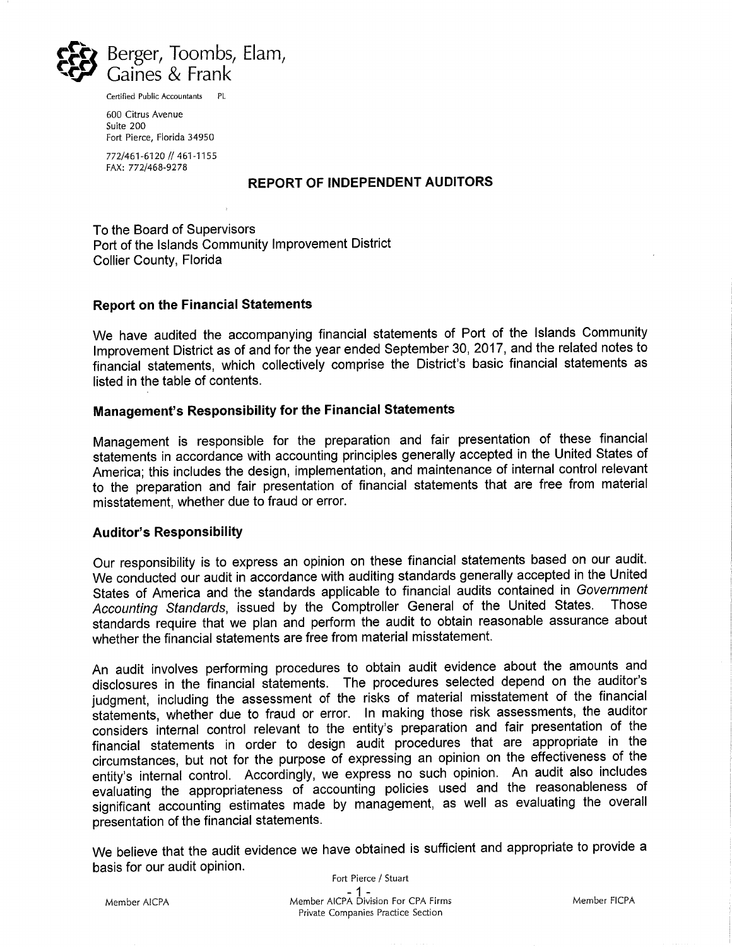

Certified Public Accountants

600 Citrus Avenue Suite 200 Fort Pierce, Florida 34950

772/461-6120 // 461-1155 FAX: 772/468-9278

#### **REPORT OF INDEPENDENT AUDITORS**

To the Board of Supervisors Port of the Islands Community Improvement District Collier County, Florida

#### **Report on the Financial Statements**

We have audited the accompanying financial statements of Port of the Islands Community Improvement District as of and for the year ended September 30, 2017, and the related notes to financial statements, which collectively comprise the District's basic financial statements as listed in the table of contents.

#### Management's Responsibility for the Financial Statements

Management is responsible for the preparation and fair presentation of these financial statements in accordance with accounting principles generally accepted in the United States of America; this includes the design, implementation, and maintenance of internal control relevant to the preparation and fair presentation of financial statements that are free from material misstatement, whether due to fraud or error.

#### **Auditor's Responsibility**

Our responsibility is to express an opinion on these financial statements based on our audit. We conducted our audit in accordance with auditing standards generally accepted in the United States of America and the standards applicable to financial audits contained in Government Accounting Standards, issued by the Comptroller General of the United States. Those standards require that we plan and perform the audit to obtain reasonable assurance about whether the financial statements are free from material misstatement.

An audit involves performing procedures to obtain audit evidence about the amounts and disclosures in the financial statements. The procedures selected depend on the auditor's judgment, including the assessment of the risks of material misstatement of the financial statements, whether due to fraud or error. In making those risk assessments, the auditor considers internal control relevant to the entity's preparation and fair presentation of the financial statements in order to design audit procedures that are appropriate in the circumstances, but not for the purpose of expressing an opinion on the effectiveness of the entity's internal control. Accordingly, we express no such opinion. An audit also includes evaluating the appropriateness of accounting policies used and the reasonableness of significant accounting estimates made by management, as well as evaluating the overall presentation of the financial statements.

We believe that the audit evidence we have obtained is sufficient and appropriate to provide a basis for our audit opinion.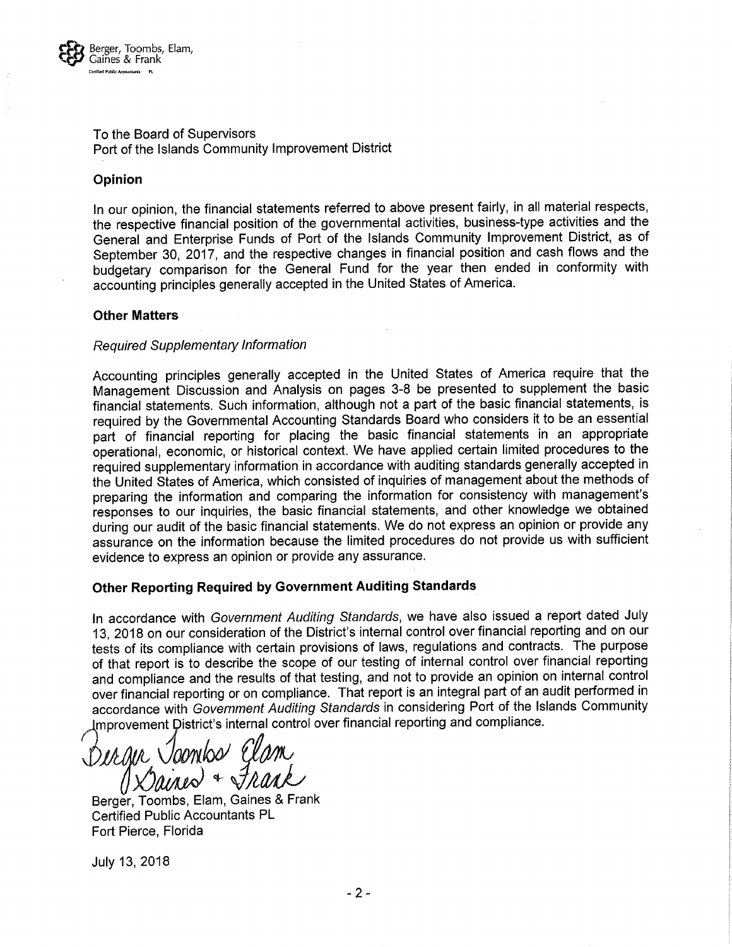

To the Board of Supervisors Port of the Islands Community Improvement District

#### Opinion

In our opinion, the financial statements referred to above present fairly, in all material respects, the respective financial position of the governmental activities, business-type activities and the General and Enterprise Funds of Port of the Islands Community Improvement District, as of September 30, 2017, and the respective changes in financial position and cash flows and the budgetary comparison for the General Fund for the year then ended in conformity with accounting principles generally accepted in the United States of America.

#### **Other Matters**

#### **Required Supplementary Information**

Accounting principles generally accepted in the United States of America require that the Management Discussion and Analysis on pages 3-8 be presented to supplement the basic financial statements. Such information, although not a part of the basic financial statements, is required by the Governmental Accounting Standards Board who considers it to be an essential part of financial reporting for placing the basic financial statements in an appropriate operational, economic, or historical context. We have applied certain limited procedures to the required supplementary information in accordance with auditing standards generally accepted in the United States of America, which consisted of inquiries of management about the methods of preparing the information and comparing the information for consistency with management's responses to our inquiries, the basic financial statements, and other knowledge we obtained during our audit of the basic financial statements. We do not express an opinion or provide any assurance on the information because the limited procedures do not provide us with sufficient evidence to express an opinion or provide any assurance.

### **Other Reporting Required by Government Auditing Standards**

In accordance with Government Auditing Standards, we have also issued a report dated July 13, 2018 on our consideration of the District's internal control over financial reporting and on our tests of its compliance with certain provisions of laws, regulations and contracts. The purpose of that report is to describe the scope of our testing of internal control over financial reporting and compliance and the results of that testing, and not to provide an opinion on internal control over financial reporting or on compliance. That report is an integral part of an audit performed in accordance with Government Auditing Standards in considering Port of the Islands Community Improvement District's internal control over financial reporting and compliance.

Bergin Joombo Glam

Berger, Toombs, Elam, Gaines & Frank **Certified Public Accountants PL** Fort Pierce, Florida

July 13, 2018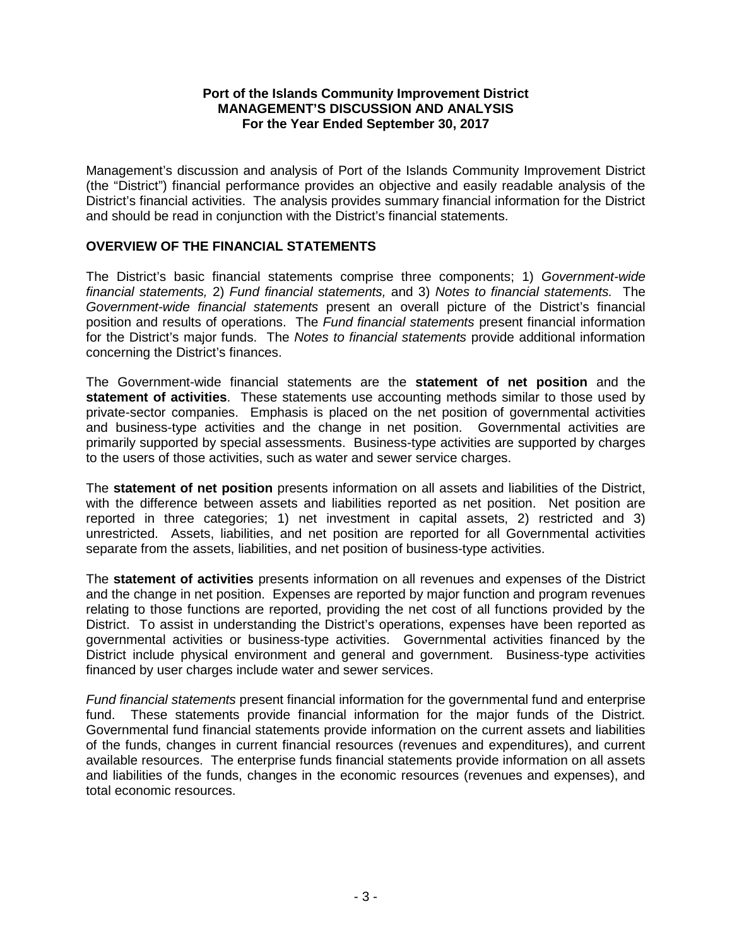Management's discussion and analysis of Port of the Islands Community Improvement District (the "District") financial performance provides an objective and easily readable analysis of the District's financial activities. The analysis provides summary financial information for the District and should be read in conjunction with the District's financial statements.

## **OVERVIEW OF THE FINANCIAL STATEMENTS**

The District's basic financial statements comprise three components; 1) *Government-wide financial statements,* 2) *Fund financial statements,* and 3) *Notes to financial statements.* The *Government-wide financial statements* present an overall picture of the District's financial position and results of operations. The *Fund financial statements* present financial information for the District's major funds. The *Notes to financial statements* provide additional information concerning the District's finances.

The Government-wide financial statements are the **statement of net position** and the **statement of activities**. These statements use accounting methods similar to those used by private-sector companies. Emphasis is placed on the net position of governmental activities and business-type activities and the change in net position. Governmental activities are primarily supported by special assessments. Business-type activities are supported by charges to the users of those activities, such as water and sewer service charges.

The **statement of net position** presents information on all assets and liabilities of the District, with the difference between assets and liabilities reported as net position. Net position are reported in three categories; 1) net investment in capital assets, 2) restricted and 3) unrestricted. Assets, liabilities, and net position are reported for all Governmental activities separate from the assets, liabilities, and net position of business-type activities.

The **statement of activities** presents information on all revenues and expenses of the District and the change in net position. Expenses are reported by major function and program revenues relating to those functions are reported, providing the net cost of all functions provided by the District. To assist in understanding the District's operations, expenses have been reported as governmental activities or business-type activities. Governmental activities financed by the District include physical environment and general and government. Business-type activities financed by user charges include water and sewer services.

*Fund financial statements* present financial information for the governmental fund and enterprise fund. These statements provide financial information for the major funds of the District. Governmental fund financial statements provide information on the current assets and liabilities of the funds, changes in current financial resources (revenues and expenditures), and current available resources. The enterprise funds financial statements provide information on all assets and liabilities of the funds, changes in the economic resources (revenues and expenses), and total economic resources.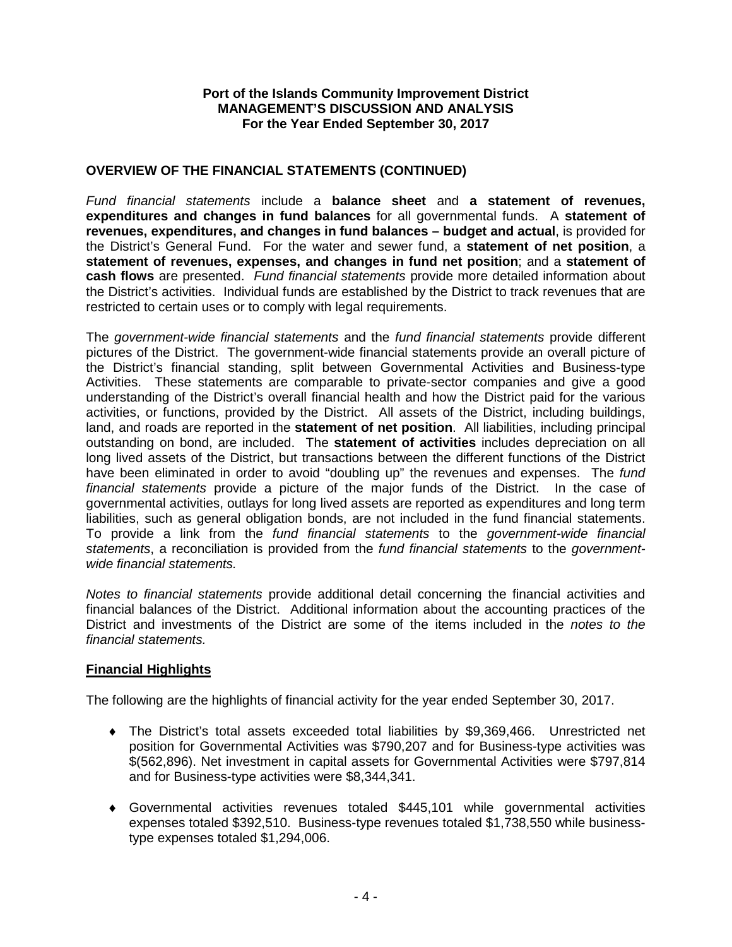## **OVERVIEW OF THE FINANCIAL STATEMENTS (CONTINUED)**

*Fund financial statements* include a **balance sheet** and **a statement of revenues, expenditures and changes in fund balances** for all governmental funds. A **statement of revenues, expenditures, and changes in fund balances – budget and actual**, is provided for the District's General Fund. For the water and sewer fund, a **statement of net position**, a **statement of revenues, expenses, and changes in fund net position**; and a **statement of cash flows** are presented. *Fund financial statements* provide more detailed information about the District's activities. Individual funds are established by the District to track revenues that are restricted to certain uses or to comply with legal requirements.

The *government-wide financial statements* and the *fund financial statements* provide different pictures of the District. The government-wide financial statements provide an overall picture of the District's financial standing, split between Governmental Activities and Business-type Activities. These statements are comparable to private-sector companies and give a good understanding of the District's overall financial health and how the District paid for the various activities, or functions, provided by the District. All assets of the District, including buildings, land, and roads are reported in the **statement of net position**. All liabilities, including principal outstanding on bond, are included. The **statement of activities** includes depreciation on all long lived assets of the District, but transactions between the different functions of the District have been eliminated in order to avoid "doubling up" the revenues and expenses. The *fund financial statements* provide a picture of the major funds of the District. In the case of governmental activities, outlays for long lived assets are reported as expenditures and long term liabilities, such as general obligation bonds, are not included in the fund financial statements. To provide a link from the *fund financial statements* to the *government-wide financial statements*, a reconciliation is provided from the *fund financial statements* to the *governmentwide financial statements.*

*Notes to financial statements* provide additional detail concerning the financial activities and financial balances of the District. Additional information about the accounting practices of the District and investments of the District are some of the items included in the *notes to the financial statements.*

### **Financial Highlights**

The following are the highlights of financial activity for the year ended September 30, 2017.

- ♦ The District's total assets exceeded total liabilities by \$9,369,466. Unrestricted net position for Governmental Activities was \$790,207 and for Business-type activities was \$(562,896). Net investment in capital assets for Governmental Activities were \$797,814 and for Business-type activities were \$8,344,341.
- ♦ Governmental activities revenues totaled \$445,101 while governmental activities expenses totaled \$392,510. Business-type revenues totaled \$1,738,550 while businesstype expenses totaled \$1,294,006.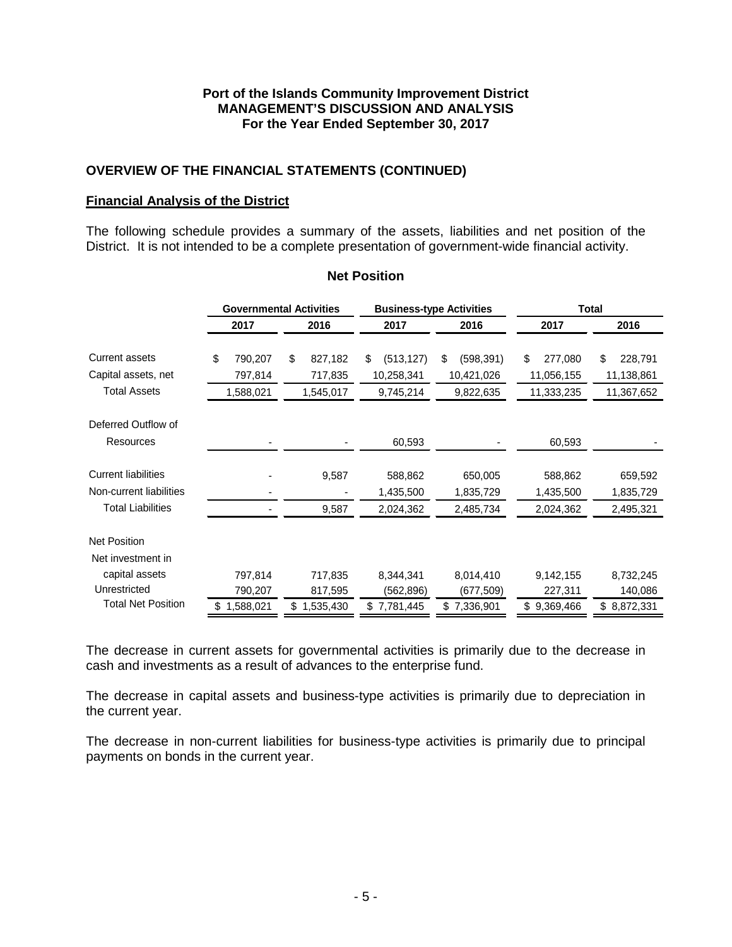## **OVERVIEW OF THE FINANCIAL STATEMENTS (CONTINUED)**

#### **Financial Analysis of the District**

The following schedule provides a summary of the assets, liabilities and net position of the District. It is not intended to be a complete presentation of government-wide financial activity.

|                                              |                          | <b>Governmental Activities</b> |                                | <b>Business-type Activities</b> |                             | Total                       |
|----------------------------------------------|--------------------------|--------------------------------|--------------------------------|---------------------------------|-----------------------------|-----------------------------|
|                                              | 2017                     | 2016                           | 2017                           | 2016                            | 2017                        | 2016                        |
| <b>Current assets</b><br>Capital assets, net | \$<br>790,207<br>797,814 | \$<br>827,182<br>717,835       | \$<br>(513, 127)<br>10,258,341 | \$<br>(598, 391)<br>10,421,026  | \$<br>277,080<br>11,056,155 | \$<br>228,791<br>11,138,861 |
| <b>Total Assets</b>                          | 1,588,021                | 1,545,017                      | 9,745,214                      | 9,822,635                       | 11,333,235                  | 11,367,652                  |
| Deferred Outflow of<br><b>Resources</b>      |                          |                                | 60,593                         |                                 | 60,593                      |                             |
|                                              |                          |                                |                                |                                 |                             |                             |
| <b>Current liabilities</b>                   |                          | 9,587                          | 588,862                        | 650,005                         | 588,862                     | 659,592                     |
| Non-current liabilities                      |                          |                                | 1,435,500                      | 1,835,729                       | 1,435,500                   | 1,835,729                   |
| <b>Total Liabilities</b>                     |                          | 9,587                          | 2,024,362                      | 2,485,734                       | 2,024,362                   | 2,495,321                   |
| <b>Net Position</b><br>Net investment in     |                          |                                |                                |                                 |                             |                             |
| capital assets                               | 797,814                  | 717,835                        | 8,344,341                      | 8,014,410                       | 9,142,155                   | 8,732,245                   |
| Unrestricted                                 | 790,207                  | 817,595                        | (562, 896)                     | (677,509)                       | 227,311                     | 140,086                     |
| <b>Total Net Position</b>                    | 1,588,021<br>\$.         | \$1,535,430                    | \$7,781,445                    | \$7,336,901                     | \$9,369,466                 | \$8,872,331                 |

## **Net Position**

The decrease in current assets for governmental activities is primarily due to the decrease in cash and investments as a result of advances to the enterprise fund.

The decrease in capital assets and business-type activities is primarily due to depreciation in the current year.

The decrease in non-current liabilities for business-type activities is primarily due to principal payments on bonds in the current year.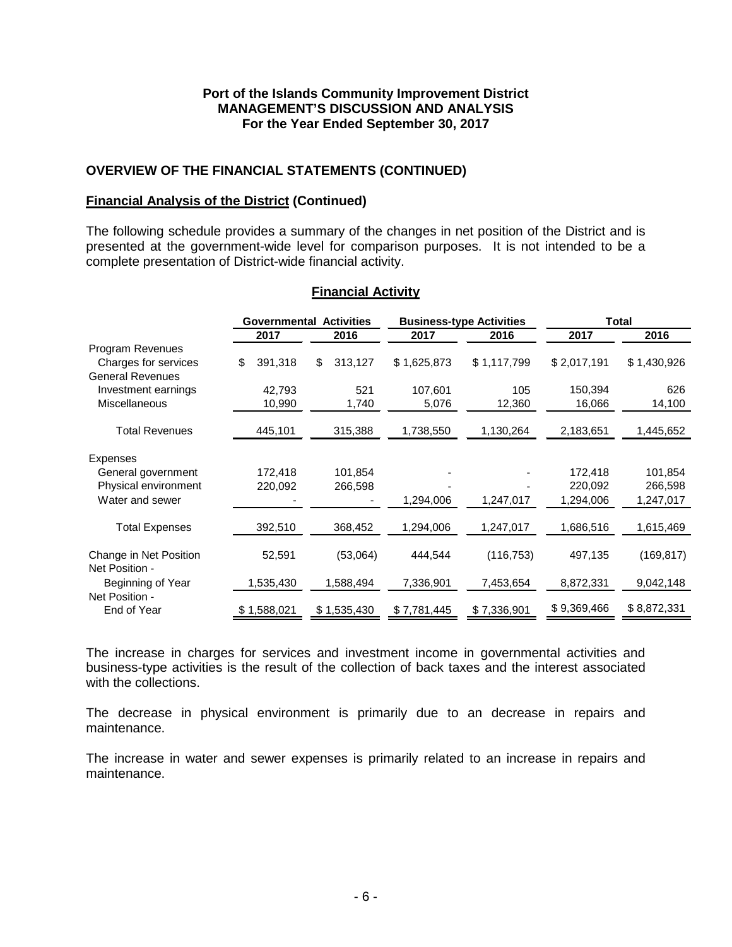## **OVERVIEW OF THE FINANCIAL STATEMENTS (CONTINUED)**

#### **Financial Analysis of the District (Continued)**

The following schedule provides a summary of the changes in net position of the District and is presented at the government-wide level for comparison purposes. It is not intended to be a complete presentation of District-wide financial activity.

|                                          | <b>Governmental Activities</b> |               |             | <b>Business-type Activities</b> | <b>Total</b> |             |  |
|------------------------------------------|--------------------------------|---------------|-------------|---------------------------------|--------------|-------------|--|
|                                          | 2017                           | 2016          | 2017        | 2016                            | 2017         | 2016        |  |
| Program Revenues                         |                                |               |             |                                 |              |             |  |
| Charges for services                     | \$<br>391,318                  | \$<br>313,127 | \$1,625,873 | \$1,117,799                     | \$2,017,191  | \$1,430,926 |  |
| <b>General Revenues</b>                  |                                |               |             |                                 |              |             |  |
| Investment earnings                      | 42,793                         | 521           | 107,601     | 105                             | 150,394      | 626         |  |
| <b>Miscellaneous</b>                     | 10,990                         | 1,740         | 5,076       | 12,360                          | 16,066       | 14,100      |  |
| <b>Total Revenues</b>                    | 445,101                        | 315,388       | 1,738,550   | 1,130,264                       | 2,183,651    | 1,445,652   |  |
| <b>Expenses</b>                          |                                |               |             |                                 |              |             |  |
| General government                       | 172,418                        | 101,854       |             |                                 | 172,418      | 101,854     |  |
| Physical environment                     | 220,092                        | 266,598       |             |                                 | 220,092      | 266,598     |  |
| Water and sewer                          |                                |               | 1,294,006   | 1,247,017                       | 1,294,006    | 1,247,017   |  |
| <b>Total Expenses</b>                    | 392,510                        | 368,452       | 1,294,006   | 1,247,017                       | 1,686,516    | 1,615,469   |  |
| Change in Net Position<br>Net Position - | 52,591                         | (53,064)      | 444,544     | (116, 753)                      | 497,135      | (169, 817)  |  |
| Beginning of Year                        | 1,535,430                      | 1,588,494     | 7,336,901   | 7,453,654                       | 8,872,331    | 9,042,148   |  |
| Net Position -<br>End of Year            | \$1,588,021                    | \$1,535,430   | \$7,781,445 | \$7,336,901                     | \$9,369,466  | \$8,872,331 |  |

#### **Financial Activity**

The increase in charges for services and investment income in governmental activities and business-type activities is the result of the collection of back taxes and the interest associated with the collections.

The decrease in physical environment is primarily due to an decrease in repairs and maintenance.

The increase in water and sewer expenses is primarily related to an increase in repairs and maintenance.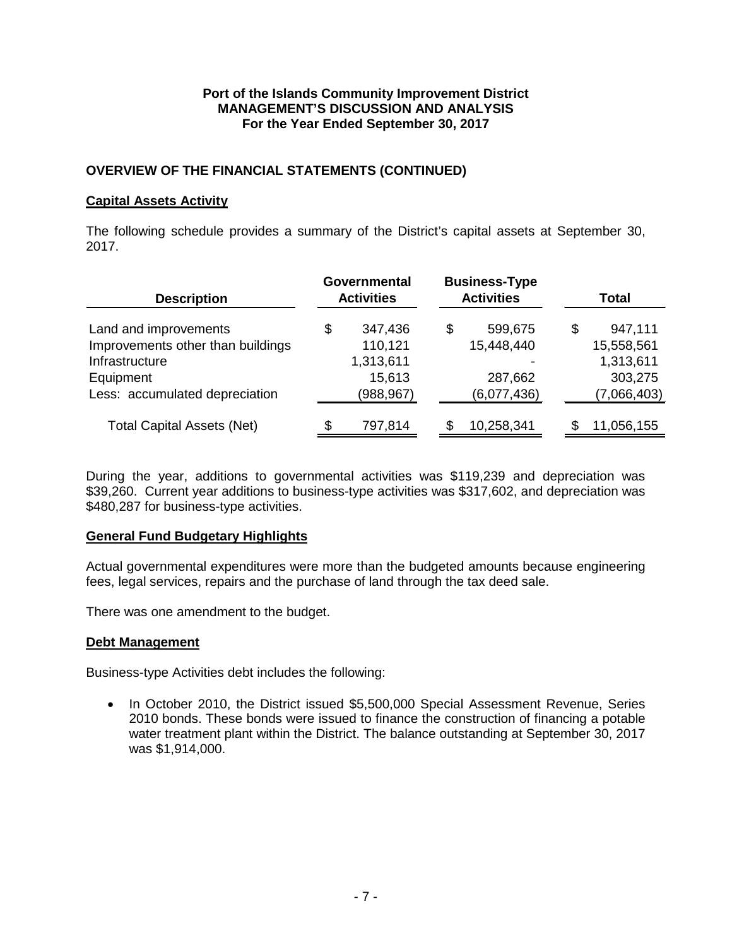## **OVERVIEW OF THE FINANCIAL STATEMENTS (CONTINUED)**

#### **Capital Assets Activity**

The following schedule provides a summary of the District's capital assets at September 30, 2017.

| <b>Description</b>                |    | <b>Governmental</b><br><b>Activities</b> |    | <b>Business-Type</b><br><b>Activities</b> |   | Total       |
|-----------------------------------|----|------------------------------------------|----|-------------------------------------------|---|-------------|
| Land and improvements             | \$ | 347,436                                  | \$ | 599,675                                   | S | 947,111     |
| Improvements other than buildings |    | 110,121                                  |    | 15,448,440                                |   | 15,558,561  |
| Infrastructure                    |    | 1,313,611                                |    |                                           |   | 1,313,611   |
| Equipment                         |    | 15,613                                   |    | 287,662                                   |   | 303,275     |
| Less: accumulated depreciation    |    | (988, 967)                               |    | (6,077,436)                               |   | (7,066,403) |
| <b>Total Capital Assets (Net)</b> | \$ | 797,814                                  | S  | 10,258,341                                | S | 11,056,155  |

During the year, additions to governmental activities was \$119,239 and depreciation was \$39,260. Current year additions to business-type activities was \$317,602, and depreciation was \$480,287 for business-type activities.

### **General Fund Budgetary Highlights**

Actual governmental expenditures were more than the budgeted amounts because engineering fees, legal services, repairs and the purchase of land through the tax deed sale.

There was one amendment to the budget.

#### **Debt Management**

Business-type Activities debt includes the following:

• In October 2010, the District issued \$5,500,000 Special Assessment Revenue, Series 2010 bonds. These bonds were issued to finance the construction of financing a potable water treatment plant within the District. The balance outstanding at September 30, 2017 was \$1,914,000.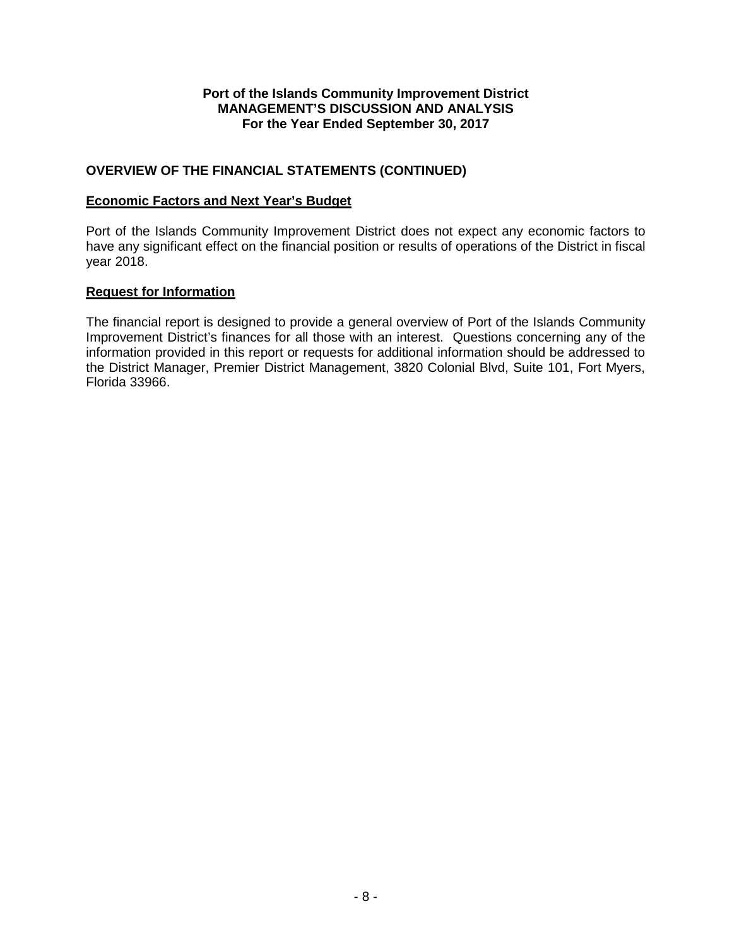## **OVERVIEW OF THE FINANCIAL STATEMENTS (CONTINUED)**

#### **Economic Factors and Next Year's Budget**

Port of the Islands Community Improvement District does not expect any economic factors to have any significant effect on the financial position or results of operations of the District in fiscal year 2018.

#### **Request for Information**

The financial report is designed to provide a general overview of Port of the Islands Community Improvement District's finances for all those with an interest. Questions concerning any of the information provided in this report or requests for additional information should be addressed to the District Manager, Premier District Management, 3820 Colonial Blvd, Suite 101, Fort Myers, Florida 33966.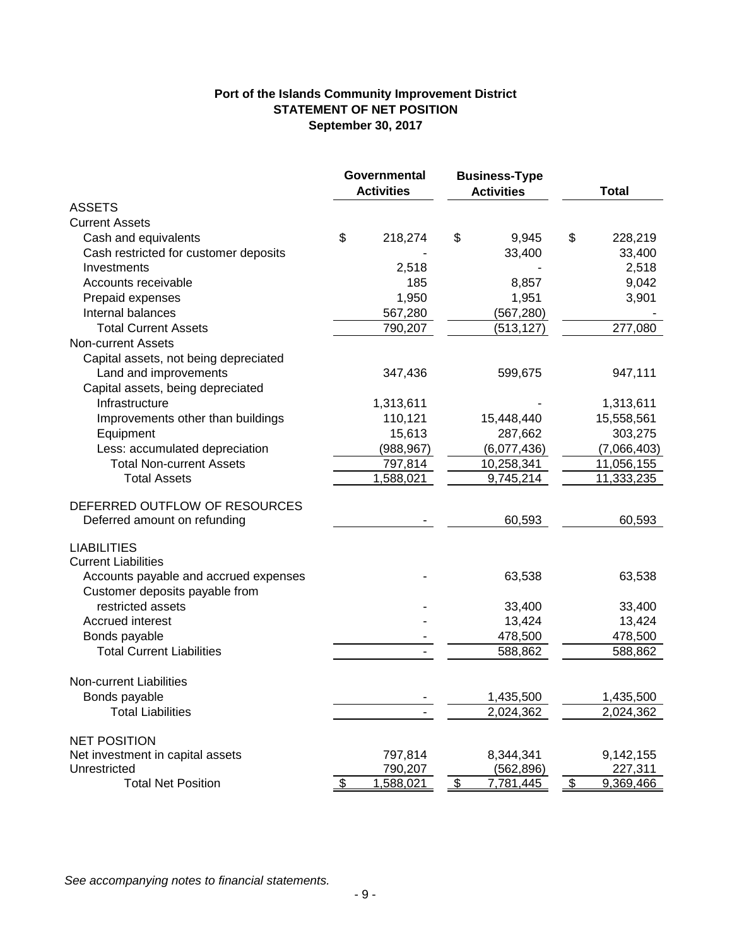## **Port of the Islands Community Improvement District STATEMENT OF NET POSITION September 30, 2017**

|                                                                                           |                          | Governmental<br><b>Activities</b> |    | <b>Business-Type</b><br><b>Activities</b> |                          | <b>Total</b> |
|-------------------------------------------------------------------------------------------|--------------------------|-----------------------------------|----|-------------------------------------------|--------------------------|--------------|
| <b>ASSETS</b>                                                                             |                          |                                   |    |                                           |                          |              |
| <b>Current Assets</b>                                                                     |                          |                                   |    |                                           |                          |              |
| Cash and equivalents                                                                      | \$                       | 218,274                           | \$ | 9,945                                     | \$                       | 228,219      |
| Cash restricted for customer deposits                                                     |                          |                                   |    | 33,400                                    |                          | 33,400       |
| Investments                                                                               |                          | 2,518                             |    |                                           |                          | 2,518        |
| Accounts receivable                                                                       |                          | 185                               |    | 8,857                                     |                          | 9,042        |
| Prepaid expenses                                                                          |                          | 1,950                             |    | 1,951                                     |                          | 3,901        |
| Internal balances                                                                         |                          | 567,280                           |    | (567, 280)                                |                          |              |
| <b>Total Current Assets</b>                                                               |                          | 790,207                           |    | (513, 127)                                |                          | 277,080      |
| <b>Non-current Assets</b>                                                                 |                          |                                   |    |                                           |                          |              |
| Capital assets, not being depreciated                                                     |                          |                                   |    |                                           |                          |              |
| Land and improvements                                                                     |                          | 347,436                           |    | 599,675                                   |                          | 947,111      |
| Capital assets, being depreciated                                                         |                          |                                   |    |                                           |                          |              |
| Infrastructure                                                                            |                          | 1,313,611                         |    |                                           |                          | 1,313,611    |
| Improvements other than buildings                                                         |                          | 110,121                           |    | 15,448,440                                |                          | 15,558,561   |
| Equipment                                                                                 |                          | 15,613                            |    | 287,662                                   |                          | 303,275      |
| Less: accumulated depreciation                                                            |                          | (988, 967)                        |    | (6,077,436)                               |                          | (7,066,403)  |
| <b>Total Non-current Assets</b>                                                           |                          | 797,814                           |    | 10,258,341                                |                          | 11,056,155   |
| <b>Total Assets</b>                                                                       |                          | 1,588,021                         |    | 9,745,214                                 |                          | 11,333,235   |
| DEFERRED OUTFLOW OF RESOURCES<br>Deferred amount on refunding                             |                          |                                   |    | 60,593                                    |                          | 60,593       |
| <b>LIABILITIES</b><br><b>Current Liabilities</b><br>Accounts payable and accrued expenses |                          |                                   |    | 63,538                                    |                          | 63,538       |
| Customer deposits payable from                                                            |                          |                                   |    |                                           |                          |              |
| restricted assets                                                                         |                          |                                   |    | 33,400                                    |                          | 33,400       |
| Accrued interest                                                                          |                          |                                   |    | 13,424                                    |                          | 13,424       |
| Bonds payable                                                                             |                          |                                   |    | 478,500                                   |                          | 478,500      |
| <b>Total Current Liabilities</b>                                                          |                          |                                   |    | 588,862                                   |                          | 588,862      |
| Non-current Liabilities                                                                   |                          |                                   |    |                                           |                          |              |
| Bonds payable                                                                             |                          |                                   |    | 1,435,500                                 |                          | 1,435,500    |
| <b>Total Liabilities</b>                                                                  |                          |                                   |    | 2,024,362                                 |                          | 2,024,362    |
| <b>NET POSITION</b>                                                                       |                          |                                   |    |                                           |                          |              |
| Net investment in capital assets                                                          |                          | 797,814                           |    | 8,344,341                                 |                          | 9,142,155    |
| Unrestricted                                                                              |                          | 790,207                           |    | (562, 896)                                |                          | 227,311      |
| <b>Total Net Position</b>                                                                 | $\overline{\mathcal{S}}$ | 1,588,021                         | \$ | 7,781,445                                 | $\overline{\mathcal{E}}$ | 9,369,466    |

*See accompanying notes to financial statements.*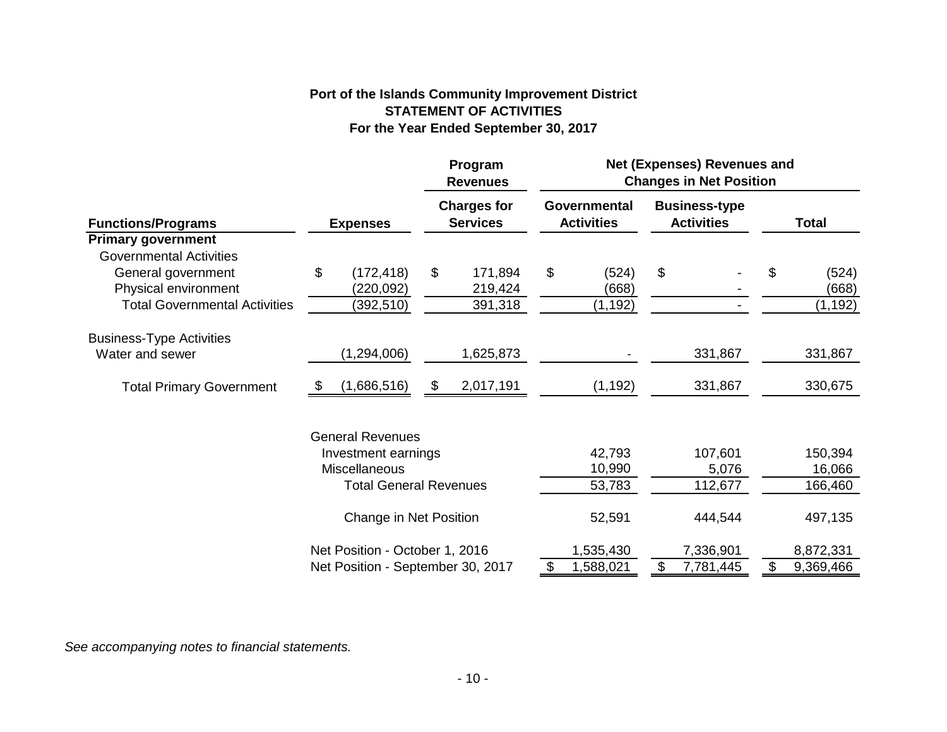# **Port of the Islands Community Improvement District STATEMENT OF ACTIVITIES For the Year Ended September 30, 2017**

|                                      |    |                                   |    | Program<br><b>Revenues</b>            | Net (Expenses) Revenues and<br><b>Changes in Net Position</b> |                                          |    |                                           |    |              |
|--------------------------------------|----|-----------------------------------|----|---------------------------------------|---------------------------------------------------------------|------------------------------------------|----|-------------------------------------------|----|--------------|
| <b>Functions/Programs</b>            |    | <b>Expenses</b>                   |    | <b>Charges for</b><br><b>Services</b> |                                                               | <b>Governmental</b><br><b>Activities</b> |    | <b>Business-type</b><br><b>Activities</b> |    | <b>Total</b> |
| <b>Primary government</b>            |    |                                   |    |                                       |                                                               |                                          |    |                                           |    |              |
| <b>Governmental Activities</b>       |    |                                   |    |                                       |                                                               |                                          |    |                                           |    |              |
| General government                   | \$ | (172, 418)                        | \$ | 171,894                               | \$                                                            | (524)                                    | \$ |                                           | \$ | (524)        |
| Physical environment                 |    | (220,092)                         |    | 219,424                               |                                                               | (668)                                    |    |                                           |    | (668)        |
| <b>Total Governmental Activities</b> |    | (392, 510)                        |    | 391,318                               |                                                               | (1, 192)                                 |    |                                           |    | (1, 192)     |
| <b>Business-Type Activities</b>      |    |                                   |    |                                       |                                                               |                                          |    |                                           |    |              |
| Water and sewer                      |    | (1, 294, 006)                     |    | 1,625,873                             |                                                               |                                          |    | 331,867                                   |    | 331,867      |
| <b>Total Primary Government</b>      | \$ | (1,686,516)                       | \$ | 2,017,191                             |                                                               | (1, 192)                                 |    | 331,867                                   |    | 330,675      |
|                                      |    | <b>General Revenues</b>           |    |                                       |                                                               |                                          |    |                                           |    |              |
|                                      |    | Investment earnings               |    |                                       |                                                               | 42,793                                   |    | 107,601                                   |    | 150,394      |
|                                      |    | <b>Miscellaneous</b>              |    |                                       |                                                               | 10,990                                   |    | 5,076                                     |    | 16,066       |
|                                      |    | <b>Total General Revenues</b>     |    |                                       |                                                               | 53,783                                   |    | 112,677                                   |    | 166,460      |
|                                      |    | Change in Net Position            |    |                                       |                                                               | 52,591                                   |    | 444,544                                   |    | 497,135      |
|                                      |    | Net Position - October 1, 2016    |    |                                       |                                                               | 1,535,430                                |    | 7,336,901                                 |    | 8,872,331    |
|                                      |    | Net Position - September 30, 2017 |    |                                       | \$                                                            | 1,588,021                                | \$ | 7,781,445                                 | \$ | 9,369,466    |

*See accompanying notes to financial statements.*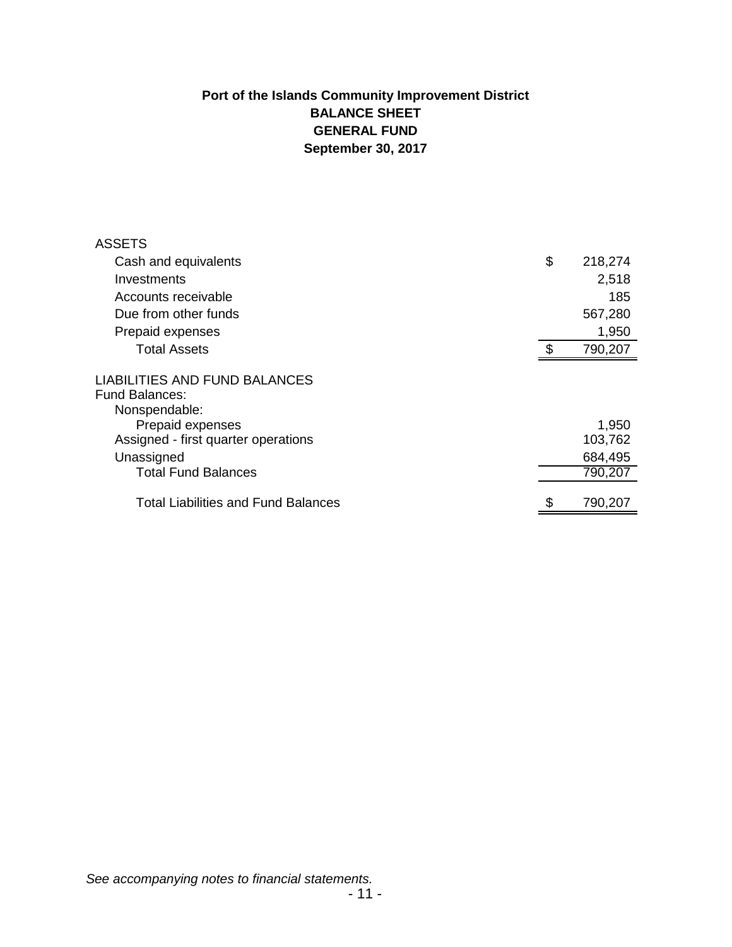# **Port of the Islands Community Improvement District BALANCE SHEET GENERAL FUND September 30, 2017**

| <b>ASSETS</b>                                                           |               |
|-------------------------------------------------------------------------|---------------|
| Cash and equivalents                                                    | \$<br>218,274 |
| Investments                                                             | 2,518         |
| Accounts receivable                                                     | 185           |
| Due from other funds                                                    | 567,280       |
| Prepaid expenses                                                        | 1,950         |
| <b>Total Assets</b>                                                     | \$<br>790,207 |
| LIABILITIES AND FUND BALANCES<br><b>Fund Balances:</b><br>Nonspendable: |               |
| Prepaid expenses                                                        | 1,950         |
| Assigned - first quarter operations                                     | 103,762       |
| Unassigned                                                              | 684,495       |
| <b>Total Fund Balances</b>                                              | 790,207       |
| <b>Total Liabilities and Fund Balances</b>                              | 790,207       |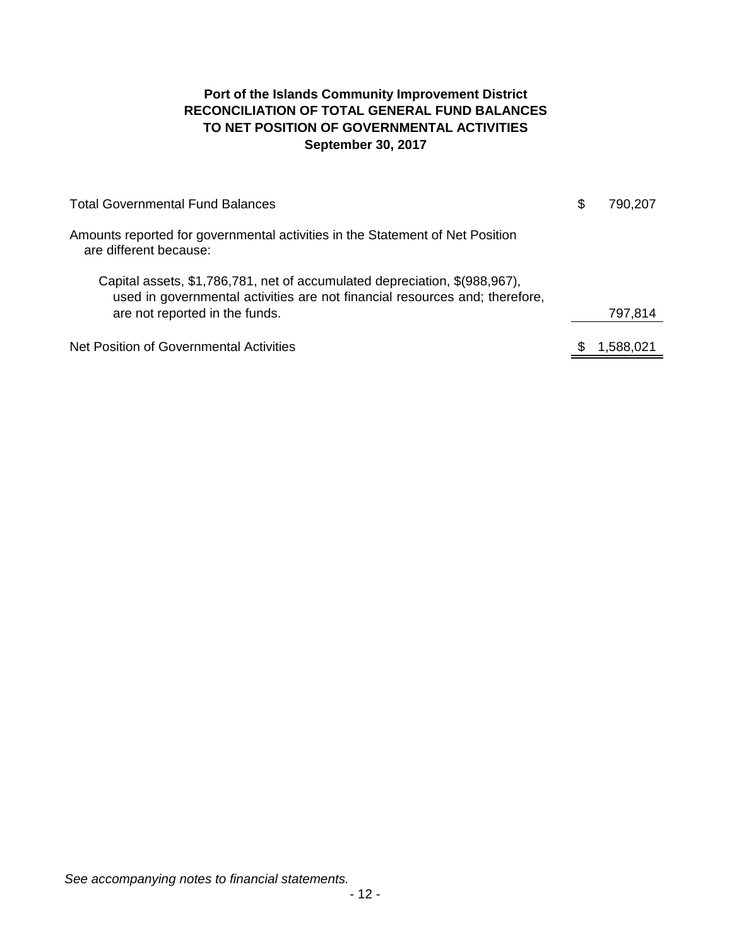## **Port of the Islands Community Improvement District RECONCILIATION OF TOTAL GENERAL FUND BALANCES TO NET POSITION OF GOVERNMENTAL ACTIVITIES September 30, 2017**

| <b>Total Governmental Fund Balances</b>                                                                                                                                                     | \$ | 790,207   |
|---------------------------------------------------------------------------------------------------------------------------------------------------------------------------------------------|----|-----------|
| Amounts reported for governmental activities in the Statement of Net Position<br>are different because:                                                                                     |    |           |
| Capital assets, \$1,786,781, net of accumulated depreciation, \$(988,967),<br>used in governmental activities are not financial resources and; therefore,<br>are not reported in the funds. |    | 797,814   |
|                                                                                                                                                                                             |    |           |
| Net Position of Governmental Activities                                                                                                                                                     | S  | 1,588,021 |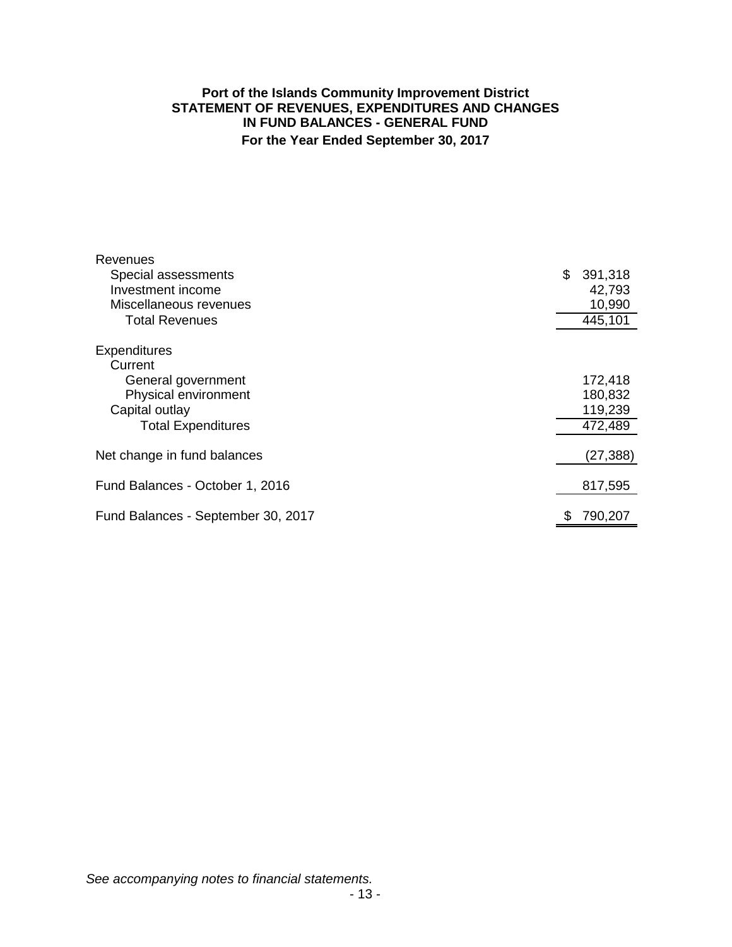## **Port of the Islands Community Improvement District STATEMENT OF REVENUES, EXPENDITURES AND CHANGES IN FUND BALANCES - GENERAL FUND For the Year Ended September 30, 2017**

| Revenues                           |               |
|------------------------------------|---------------|
| Special assessments                | \$<br>391,318 |
| Investment income                  | 42,793        |
| Miscellaneous revenues             | 10,990        |
| <b>Total Revenues</b>              | 445,101       |
| <b>Expenditures</b>                |               |
| Current                            |               |
| General government                 | 172,418       |
| Physical environment               | 180,832       |
| Capital outlay                     | 119,239       |
| <b>Total Expenditures</b>          | 472,489       |
| Net change in fund balances        | (27, 388)     |
|                                    |               |
| Fund Balances - October 1, 2016    | 817,595       |
| Fund Balances - September 30, 2017 | 790,207       |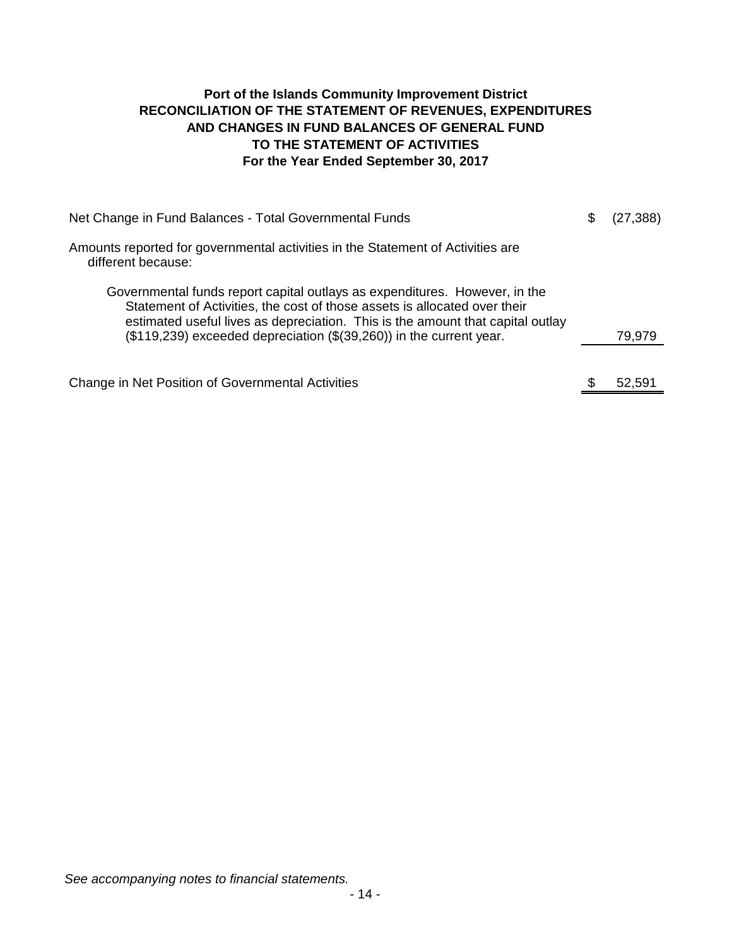## **Port of the Islands Community Improvement District RECONCILIATION OF THE STATEMENT OF REVENUES, EXPENDITURES AND CHANGES IN FUND BALANCES OF GENERAL FUND TO THE STATEMENT OF ACTIVITIES For the Year Ended September 30, 2017**

| Change in Net Position of Governmental Activities                                                                                                                                                                                                                                                                | 52,591         |
|------------------------------------------------------------------------------------------------------------------------------------------------------------------------------------------------------------------------------------------------------------------------------------------------------------------|----------------|
| Governmental funds report capital outlays as expenditures. However, in the<br>Statement of Activities, the cost of those assets is allocated over their<br>estimated useful lives as depreciation. This is the amount that capital outlay<br>(\$119,239) exceeded depreciation (\$(39,260)) in the current year. | 79,979         |
| Amounts reported for governmental activities in the Statement of Activities are<br>different because:                                                                                                                                                                                                            |                |
| Net Change in Fund Balances - Total Governmental Funds                                                                                                                                                                                                                                                           | \$<br>(27,388) |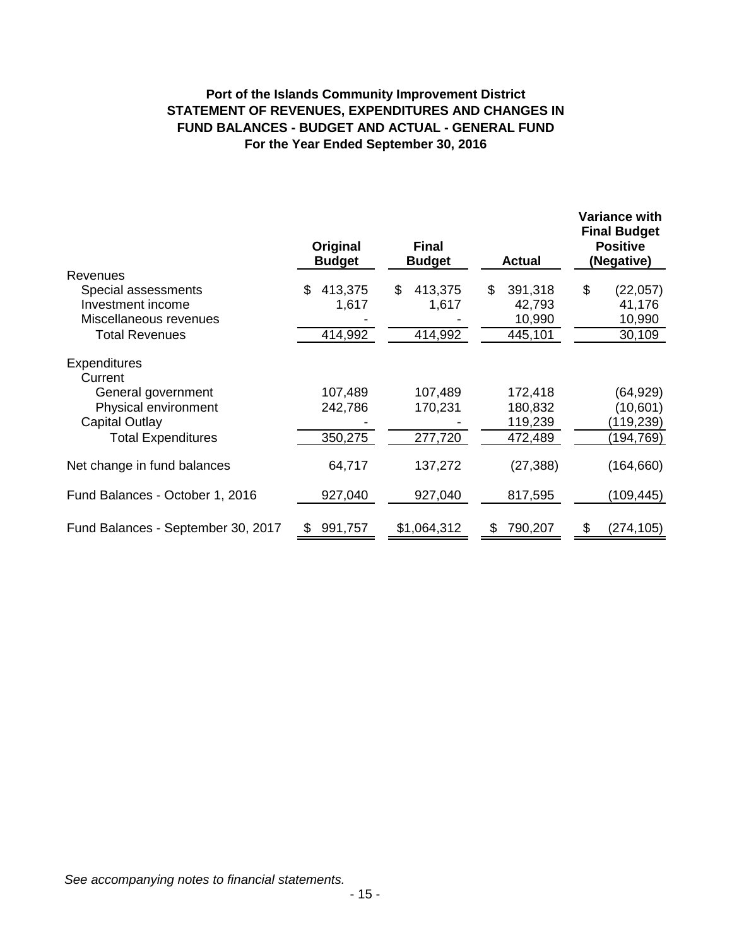# **Port of the Islands Community Improvement District STATEMENT OF REVENUES, EXPENDITURES AND CHANGES IN FUND BALANCES - BUDGET AND ACTUAL - GENERAL FUND For the Year Ended September 30, 2016**

|                                    | Original<br><b>Budget</b> | <b>Final</b><br><b>Budget</b> | <b>Actual</b>  | <b>Variance with</b><br><b>Final Budget</b><br><b>Positive</b><br>(Negative) |
|------------------------------------|---------------------------|-------------------------------|----------------|------------------------------------------------------------------------------|
| Revenues                           |                           |                               |                |                                                                              |
| Special assessments                | \$<br>413,375             | \$<br>413,375                 | 391,318<br>\$  | \$<br>(22, 057)                                                              |
| Investment income                  | 1,617                     | 1,617                         | 42,793         | 41,176                                                                       |
| Miscellaneous revenues             |                           |                               | 10,990         | 10,990                                                                       |
| <b>Total Revenues</b>              | 414,992                   | 414,992                       | 445,101        | 30,109                                                                       |
| <b>Expenditures</b><br>Current     |                           |                               |                |                                                                              |
| General government                 | 107,489                   | 107,489                       | 172,418        | (64,929)                                                                     |
| Physical environment               | 242,786                   | 170,231                       | 180,832        | (10,601)                                                                     |
| <b>Capital Outlay</b>              |                           |                               | 119,239        | (119,239)                                                                    |
| <b>Total Expenditures</b>          | 350,275                   | 277,720                       | 472,489        | (194, 769)                                                                   |
| Net change in fund balances        | 64,717                    | 137,272                       | (27, 388)      | (164, 660)                                                                   |
| Fund Balances - October 1, 2016    | 927,040                   | 927,040                       | 817,595        | (109,445)                                                                    |
| Fund Balances - September 30, 2017 | 991,757<br>\$             | \$1,064,312                   | 790,207<br>\$. | (274, 105)<br>\$                                                             |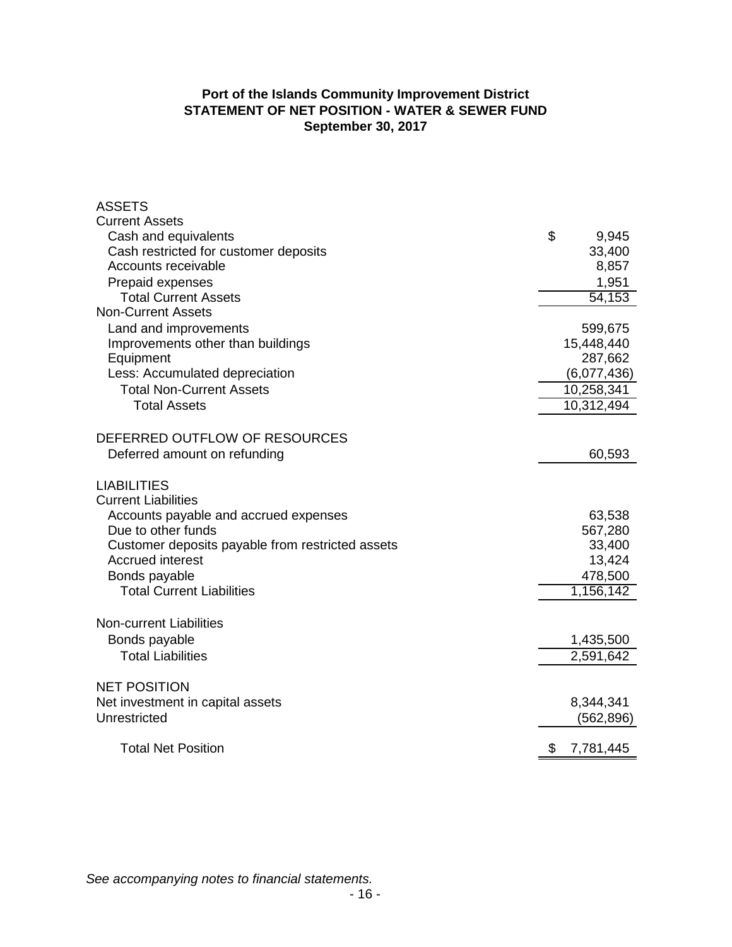## **Port of the Islands Community Improvement District STATEMENT OF NET POSITION - WATER & SEWER FUND September 30, 2017**

| <b>ASSETS</b>                                    |                 |
|--------------------------------------------------|-----------------|
| <b>Current Assets</b>                            |                 |
| Cash and equivalents                             | \$<br>9,945     |
| Cash restricted for customer deposits            | 33,400          |
| Accounts receivable                              | 8,857           |
| Prepaid expenses                                 | 1,951           |
| <b>Total Current Assets</b>                      | 54,153          |
| <b>Non-Current Assets</b>                        |                 |
| Land and improvements                            | 599,675         |
| Improvements other than buildings                | 15,448,440      |
| Equipment                                        | 287,662         |
| Less: Accumulated depreciation                   | (6,077,436)     |
| <b>Total Non-Current Assets</b>                  | 10,258,341      |
| <b>Total Assets</b>                              | 10,312,494      |
|                                                  |                 |
| DEFERRED OUTFLOW OF RESOURCES                    |                 |
| Deferred amount on refunding                     | 60,593          |
|                                                  |                 |
| <b>LIABILITIES</b>                               |                 |
| <b>Current Liabilities</b>                       |                 |
| Accounts payable and accrued expenses            | 63,538          |
| Due to other funds                               | 567,280         |
| Customer deposits payable from restricted assets | 33,400          |
| <b>Accrued interest</b>                          | 13,424          |
| Bonds payable                                    | 478,500         |
| <b>Total Current Liabilities</b>                 | 1,156,142       |
|                                                  |                 |
| <b>Non-current Liabilities</b>                   |                 |
| Bonds payable                                    | 1,435,500       |
| <b>Total Liabilities</b>                         | 2,591,642       |
|                                                  |                 |
| <b>NET POSITION</b>                              |                 |
| Net investment in capital assets                 | 8,344,341       |
| Unrestricted                                     | (562,896)       |
|                                                  |                 |
| <b>Total Net Position</b>                        | \$<br>7,781,445 |

*See accompanying notes to financial statements.*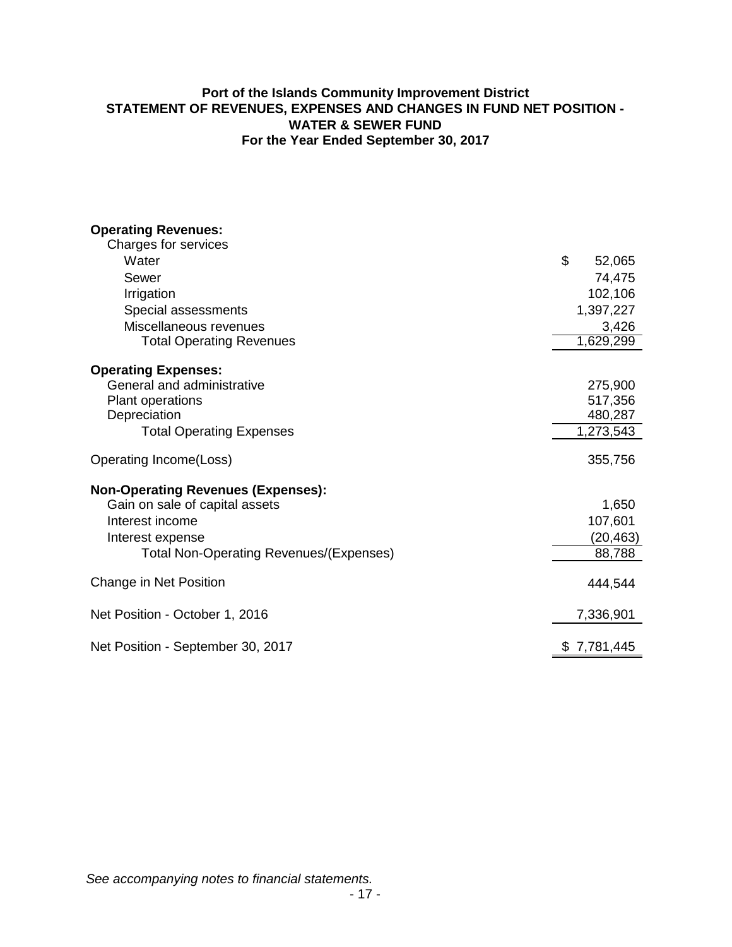### **Port of the Islands Community Improvement District For the Year Ended September 30, 2017 STATEMENT OF REVENUES, EXPENSES AND CHANGES IN FUND NET POSITION - WATER & SEWER FUND**

| <b>Operating Revenues:</b>                     |              |
|------------------------------------------------|--------------|
| Charges for services                           |              |
| Water                                          | \$<br>52,065 |
| Sewer                                          | 74,475       |
| Irrigation                                     | 102,106      |
| Special assessments                            | 1,397,227    |
| Miscellaneous revenues                         | 3,426        |
| <b>Total Operating Revenues</b>                | 1,629,299    |
| <b>Operating Expenses:</b>                     |              |
| General and administrative                     | 275,900      |
| <b>Plant operations</b>                        | 517,356      |
| Depreciation                                   | 480,287      |
| <b>Total Operating Expenses</b>                | 1,273,543    |
| Operating Income(Loss)                         | 355,756      |
| <b>Non-Operating Revenues (Expenses):</b>      |              |
| Gain on sale of capital assets                 | 1,650        |
| Interest income                                | 107,601      |
| Interest expense                               | (20, 463)    |
| <b>Total Non-Operating Revenues/(Expenses)</b> | 88,788       |
| Change in Net Position                         | 444,544      |
| Net Position - October 1, 2016                 | 7,336,901    |
| Net Position - September 30, 2017              | 7,781,445    |

*See accompanying notes to financial statements.*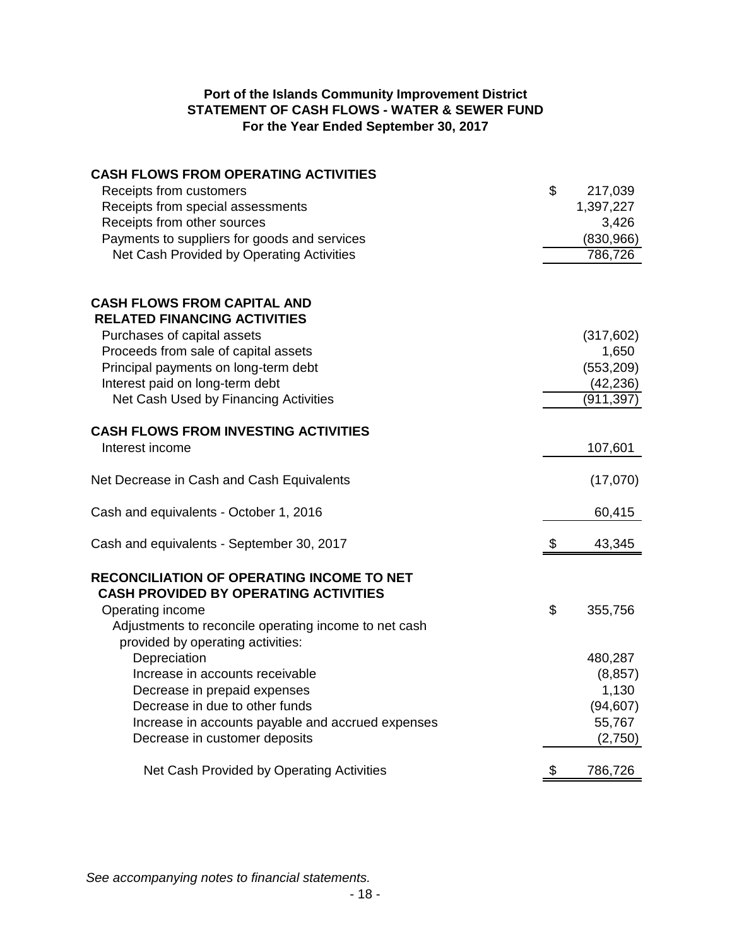## **Port of the Islands Community Improvement District STATEMENT OF CASH FLOWS - WATER & SEWER FUND For the Year Ended September 30, 2017**

| <b>CASH FLOWS FROM OPERATING ACTIVITIES</b>                                                |               |
|--------------------------------------------------------------------------------------------|---------------|
| Receipts from customers                                                                    | \$<br>217,039 |
| Receipts from special assessments                                                          | 1,397,227     |
| Receipts from other sources                                                                | 3,426         |
| Payments to suppliers for goods and services                                               | (830, 966)    |
| Net Cash Provided by Operating Activities                                                  | 786,726       |
|                                                                                            |               |
| <b>CASH FLOWS FROM CAPITAL AND</b>                                                         |               |
| <b>RELATED FINANCING ACTIVITIES</b>                                                        |               |
| Purchases of capital assets                                                                | (317, 602)    |
| Proceeds from sale of capital assets                                                       | 1,650         |
| Principal payments on long-term debt                                                       | (553, 209)    |
| Interest paid on long-term debt                                                            | (42, 236)     |
| Net Cash Used by Financing Activities                                                      | (911, 397)    |
| <b>CASH FLOWS FROM INVESTING ACTIVITIES</b>                                                |               |
| Interest income                                                                            | 107,601       |
| Net Decrease in Cash and Cash Equivalents                                                  | (17,070)      |
| Cash and equivalents - October 1, 2016                                                     | 60,415        |
| Cash and equivalents - September 30, 2017                                                  | \$<br>43,345  |
| <b>RECONCILIATION OF OPERATING INCOME TO NET</b>                                           |               |
| <b>CASH PROVIDED BY OPERATING ACTIVITIES</b>                                               |               |
| Operating income                                                                           | \$<br>355,756 |
| Adjustments to reconcile operating income to net cash<br>provided by operating activities: |               |
| Depreciation                                                                               | 480,287       |
| Increase in accounts receivable                                                            | (8, 857)      |
| Decrease in prepaid expenses                                                               | 1,130         |
| Decrease in due to other funds                                                             | (94, 607)     |
| Increase in accounts payable and accrued expenses                                          | 55,767        |
| Decrease in customer deposits                                                              | (2,750)       |
| Net Cash Provided by Operating Activities                                                  | \$<br>786,726 |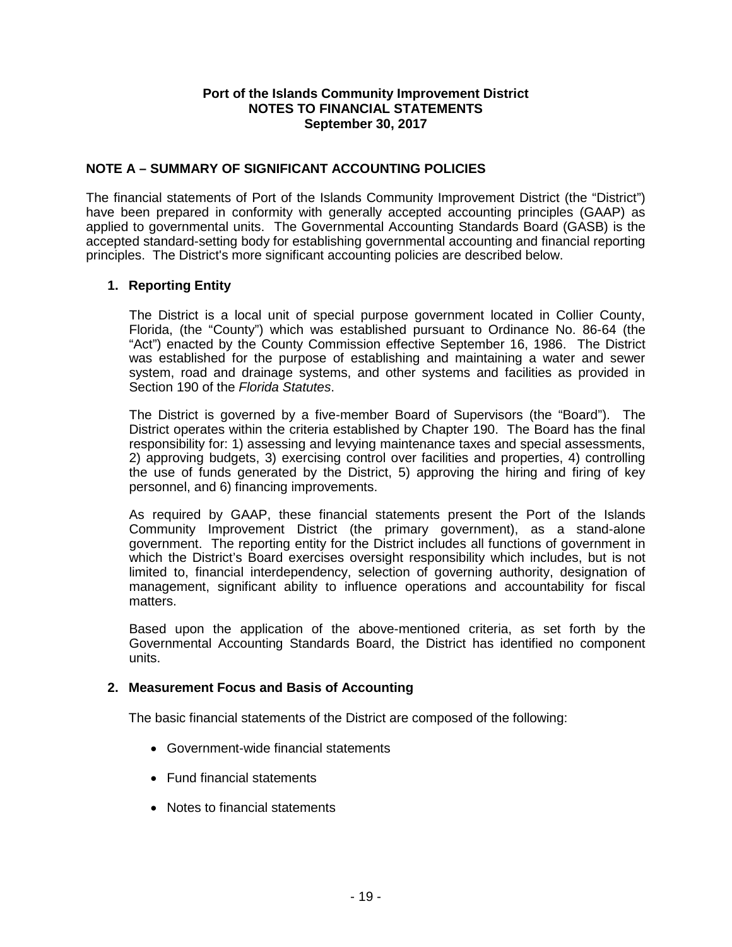### **NOTE A – SUMMARY OF SIGNIFICANT ACCOUNTING POLICIES**

The financial statements of Port of the Islands Community Improvement District (the "District") have been prepared in conformity with generally accepted accounting principles (GAAP) as applied to governmental units. The Governmental Accounting Standards Board (GASB) is the accepted standard-setting body for establishing governmental accounting and financial reporting principles. The District's more significant accounting policies are described below.

### **1. Reporting Entity**

The District is a local unit of special purpose government located in Collier County, Florida, (the "County") which was established pursuant to Ordinance No. 86-64 (the "Act") enacted by the County Commission effective September 16, 1986. The District was established for the purpose of establishing and maintaining a water and sewer system, road and drainage systems, and other systems and facilities as provided in Section 190 of the *Florida Statutes*.

The District is governed by a five-member Board of Supervisors (the "Board"). The District operates within the criteria established by Chapter 190. The Board has the final responsibility for: 1) assessing and levying maintenance taxes and special assessments, 2) approving budgets, 3) exercising control over facilities and properties, 4) controlling the use of funds generated by the District, 5) approving the hiring and firing of key personnel, and 6) financing improvements.

As required by GAAP, these financial statements present the Port of the Islands Community Improvement District (the primary government), as a stand-alone government. The reporting entity for the District includes all functions of government in which the District's Board exercises oversight responsibility which includes, but is not limited to, financial interdependency, selection of governing authority, designation of management, significant ability to influence operations and accountability for fiscal matters.

Based upon the application of the above-mentioned criteria, as set forth by the Governmental Accounting Standards Board, the District has identified no component units.

### **2. Measurement Focus and Basis of Accounting**

The basic financial statements of the District are composed of the following:

- Government-wide financial statements
- Fund financial statements
- Notes to financial statements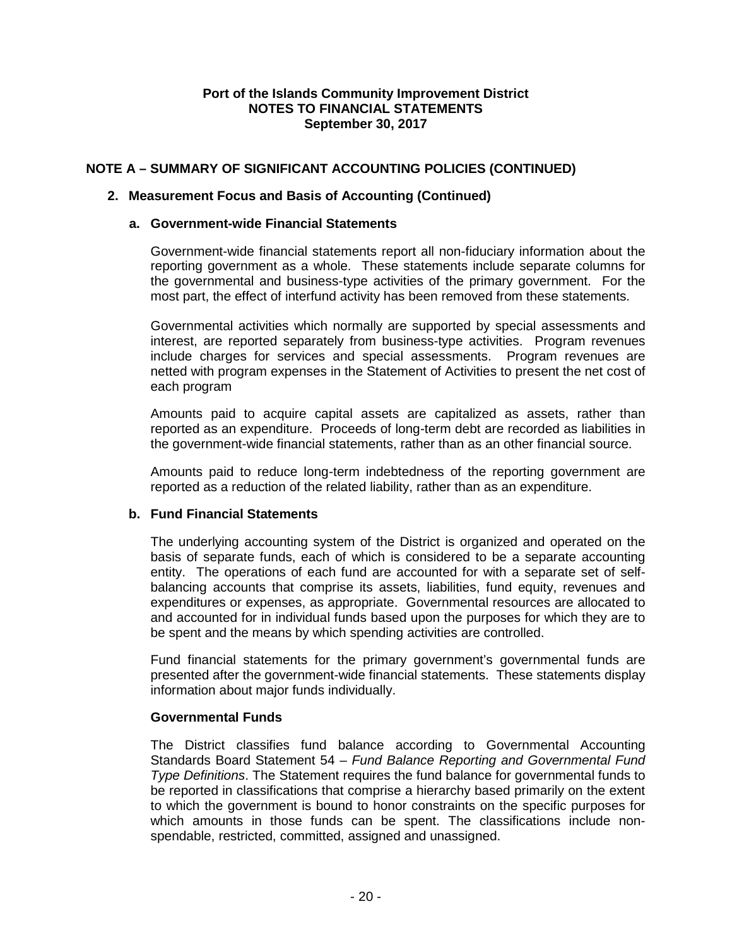## **NOTE A – SUMMARY OF SIGNIFICANT ACCOUNTING POLICIES (CONTINUED)**

#### **2. Measurement Focus and Basis of Accounting (Continued)**

#### **a. Government-wide Financial Statements**

Government-wide financial statements report all non-fiduciary information about the reporting government as a whole. These statements include separate columns for the governmental and business-type activities of the primary government. For the most part, the effect of interfund activity has been removed from these statements.

Governmental activities which normally are supported by special assessments and interest, are reported separately from business-type activities. Program revenues include charges for services and special assessments. Program revenues are netted with program expenses in the Statement of Activities to present the net cost of each program

Amounts paid to acquire capital assets are capitalized as assets, rather than reported as an expenditure. Proceeds of long-term debt are recorded as liabilities in the government-wide financial statements, rather than as an other financial source.

Amounts paid to reduce long-term indebtedness of the reporting government are reported as a reduction of the related liability, rather than as an expenditure.

### **b. Fund Financial Statements**

The underlying accounting system of the District is organized and operated on the basis of separate funds, each of which is considered to be a separate accounting entity. The operations of each fund are accounted for with a separate set of selfbalancing accounts that comprise its assets, liabilities, fund equity, revenues and expenditures or expenses, as appropriate. Governmental resources are allocated to and accounted for in individual funds based upon the purposes for which they are to be spent and the means by which spending activities are controlled.

Fund financial statements for the primary government's governmental funds are presented after the government-wide financial statements. These statements display information about major funds individually.

#### **Governmental Funds**

The District classifies fund balance according to Governmental Accounting Standards Board Statement 54 – *Fund Balance Reporting and Governmental Fund Type Definitions*. The Statement requires the fund balance for governmental funds to be reported in classifications that comprise a hierarchy based primarily on the extent to which the government is bound to honor constraints on the specific purposes for which amounts in those funds can be spent. The classifications include nonspendable, restricted, committed, assigned and unassigned.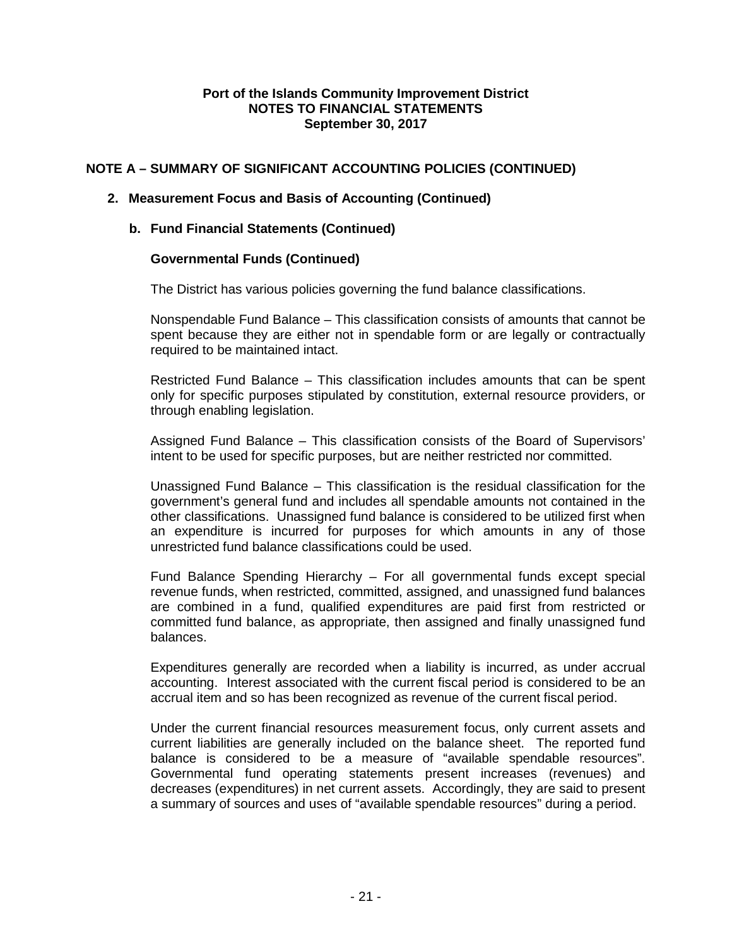## **NOTE A – SUMMARY OF SIGNIFICANT ACCOUNTING POLICIES (CONTINUED)**

#### **2. Measurement Focus and Basis of Accounting (Continued)**

#### **b. Fund Financial Statements (Continued)**

#### **Governmental Funds (Continued)**

The District has various policies governing the fund balance classifications.

Nonspendable Fund Balance – This classification consists of amounts that cannot be spent because they are either not in spendable form or are legally or contractually required to be maintained intact.

Restricted Fund Balance *–* This classification includes amounts that can be spent only for specific purposes stipulated by constitution, external resource providers, or through enabling legislation.

Assigned Fund Balance – This classification consists of the Board of Supervisors' intent to be used for specific purposes, but are neither restricted nor committed.

Unassigned Fund Balance – This classification is the residual classification for the government's general fund and includes all spendable amounts not contained in the other classifications. Unassigned fund balance is considered to be utilized first when an expenditure is incurred for purposes for which amounts in any of those unrestricted fund balance classifications could be used.

Fund Balance Spending Hierarchy – For all governmental funds except special revenue funds, when restricted, committed, assigned, and unassigned fund balances are combined in a fund, qualified expenditures are paid first from restricted or committed fund balance, as appropriate, then assigned and finally unassigned fund balances.

Expenditures generally are recorded when a liability is incurred, as under accrual accounting. Interest associated with the current fiscal period is considered to be an accrual item and so has been recognized as revenue of the current fiscal period.

Under the current financial resources measurement focus, only current assets and current liabilities are generally included on the balance sheet. The reported fund balance is considered to be a measure of "available spendable resources". Governmental fund operating statements present increases (revenues) and decreases (expenditures) in net current assets. Accordingly, they are said to present a summary of sources and uses of "available spendable resources" during a period.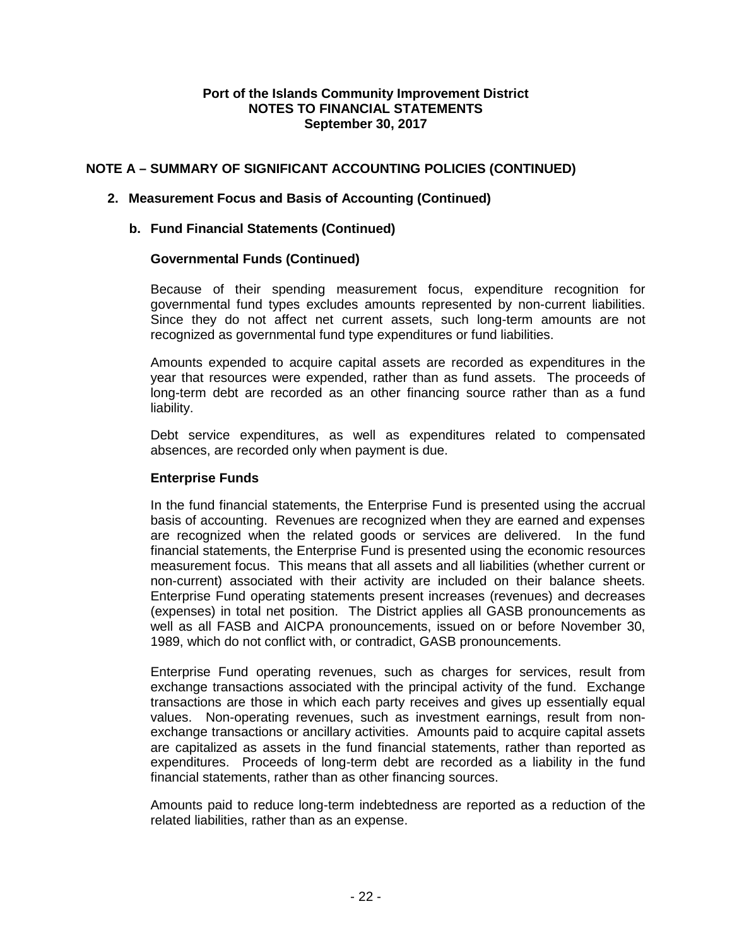## **NOTE A – SUMMARY OF SIGNIFICANT ACCOUNTING POLICIES (CONTINUED)**

#### **2. Measurement Focus and Basis of Accounting (Continued)**

#### **b. Fund Financial Statements (Continued)**

#### **Governmental Funds (Continued)**

Because of their spending measurement focus, expenditure recognition for governmental fund types excludes amounts represented by non-current liabilities. Since they do not affect net current assets, such long-term amounts are not recognized as governmental fund type expenditures or fund liabilities.

Amounts expended to acquire capital assets are recorded as expenditures in the year that resources were expended, rather than as fund assets. The proceeds of long-term debt are recorded as an other financing source rather than as a fund liability.

Debt service expenditures, as well as expenditures related to compensated absences, are recorded only when payment is due.

#### **Enterprise Funds**

In the fund financial statements, the Enterprise Fund is presented using the accrual basis of accounting. Revenues are recognized when they are earned and expenses are recognized when the related goods or services are delivered. In the fund financial statements, the Enterprise Fund is presented using the economic resources measurement focus. This means that all assets and all liabilities (whether current or non-current) associated with their activity are included on their balance sheets. Enterprise Fund operating statements present increases (revenues) and decreases (expenses) in total net position. The District applies all GASB pronouncements as well as all FASB and AICPA pronouncements, issued on or before November 30, 1989, which do not conflict with, or contradict, GASB pronouncements.

Enterprise Fund operating revenues, such as charges for services, result from exchange transactions associated with the principal activity of the fund. Exchange transactions are those in which each party receives and gives up essentially equal values. Non-operating revenues, such as investment earnings, result from nonexchange transactions or ancillary activities. Amounts paid to acquire capital assets are capitalized as assets in the fund financial statements, rather than reported as expenditures. Proceeds of long-term debt are recorded as a liability in the fund financial statements, rather than as other financing sources.

Amounts paid to reduce long-term indebtedness are reported as a reduction of the related liabilities, rather than as an expense.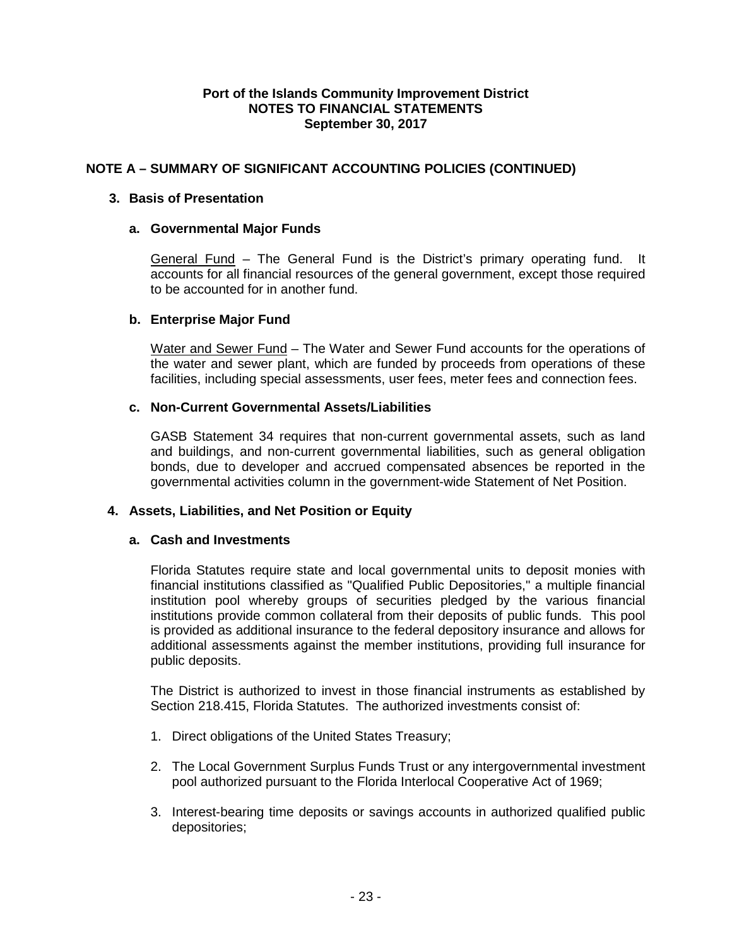## **NOTE A – SUMMARY OF SIGNIFICANT ACCOUNTING POLICIES (CONTINUED)**

#### **3. Basis of Presentation**

#### **a. Governmental Major Funds**

General Fund – The General Fund is the District's primary operating fund. It accounts for all financial resources of the general government, except those required to be accounted for in another fund.

#### **b. Enterprise Major Fund**

Water and Sewer Fund – The Water and Sewer Fund accounts for the operations of the water and sewer plant, which are funded by proceeds from operations of these facilities, including special assessments, user fees, meter fees and connection fees.

#### **c. Non-Current Governmental Assets/Liabilities**

GASB Statement 34 requires that non-current governmental assets, such as land and buildings, and non-current governmental liabilities, such as general obligation bonds, due to developer and accrued compensated absences be reported in the governmental activities column in the government-wide Statement of Net Position.

### **4. Assets, Liabilities, and Net Position or Equity**

#### **a. Cash and Investments**

Florida Statutes require state and local governmental units to deposit monies with financial institutions classified as "Qualified Public Depositories," a multiple financial institution pool whereby groups of securities pledged by the various financial institutions provide common collateral from their deposits of public funds. This pool is provided as additional insurance to the federal depository insurance and allows for additional assessments against the member institutions, providing full insurance for public deposits.

The District is authorized to invest in those financial instruments as established by Section 218.415, Florida Statutes. The authorized investments consist of:

- 1. Direct obligations of the United States Treasury;
- 2. The Local Government Surplus Funds Trust or any intergovernmental investment pool authorized pursuant to the Florida Interlocal Cooperative Act of 1969;
- 3. Interest-bearing time deposits or savings accounts in authorized qualified public depositories;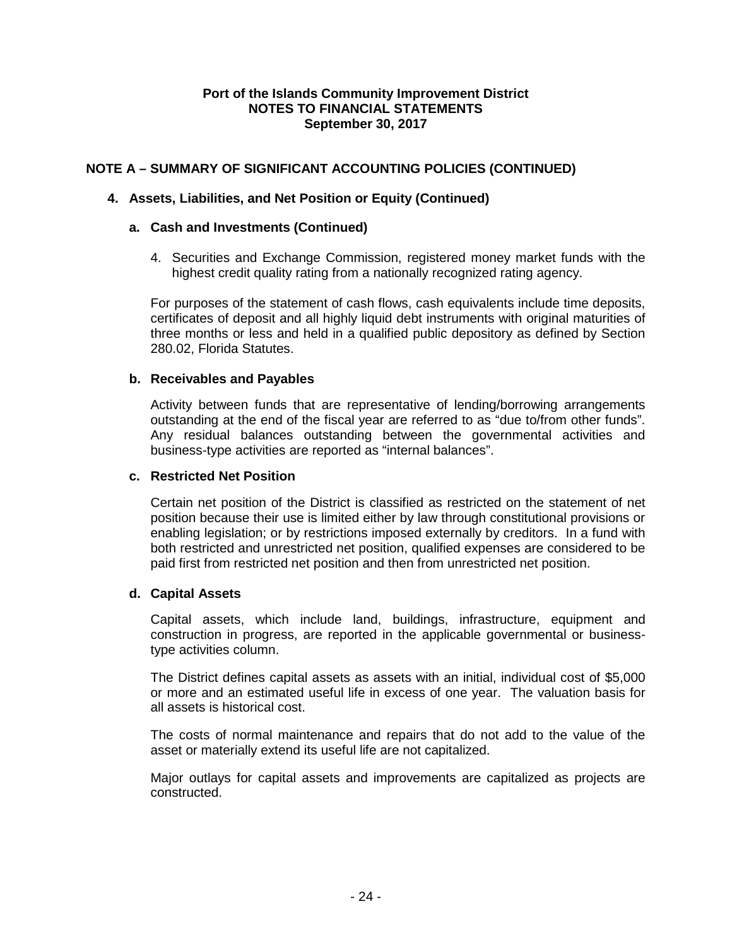## **NOTE A – SUMMARY OF SIGNIFICANT ACCOUNTING POLICIES (CONTINUED)**

### **4. Assets, Liabilities, and Net Position or Equity (Continued)**

### **a. Cash and Investments (Continued)**

4. Securities and Exchange Commission, registered money market funds with the highest credit quality rating from a nationally recognized rating agency.

For purposes of the statement of cash flows, cash equivalents include time deposits, certificates of deposit and all highly liquid debt instruments with original maturities of three months or less and held in a qualified public depository as defined by Section 280.02, Florida Statutes.

### **b. Receivables and Payables**

Activity between funds that are representative of lending/borrowing arrangements outstanding at the end of the fiscal year are referred to as "due to/from other funds". Any residual balances outstanding between the governmental activities and business-type activities are reported as "internal balances".

### **c. Restricted Net Position**

Certain net position of the District is classified as restricted on the statement of net position because their use is limited either by law through constitutional provisions or enabling legislation; or by restrictions imposed externally by creditors. In a fund with both restricted and unrestricted net position, qualified expenses are considered to be paid first from restricted net position and then from unrestricted net position.

### **d. Capital Assets**

Capital assets, which include land, buildings, infrastructure, equipment and construction in progress, are reported in the applicable governmental or businesstype activities column.

The District defines capital assets as assets with an initial, individual cost of \$5,000 or more and an estimated useful life in excess of one year. The valuation basis for all assets is historical cost.

The costs of normal maintenance and repairs that do not add to the value of the asset or materially extend its useful life are not capitalized.

Major outlays for capital assets and improvements are capitalized as projects are constructed.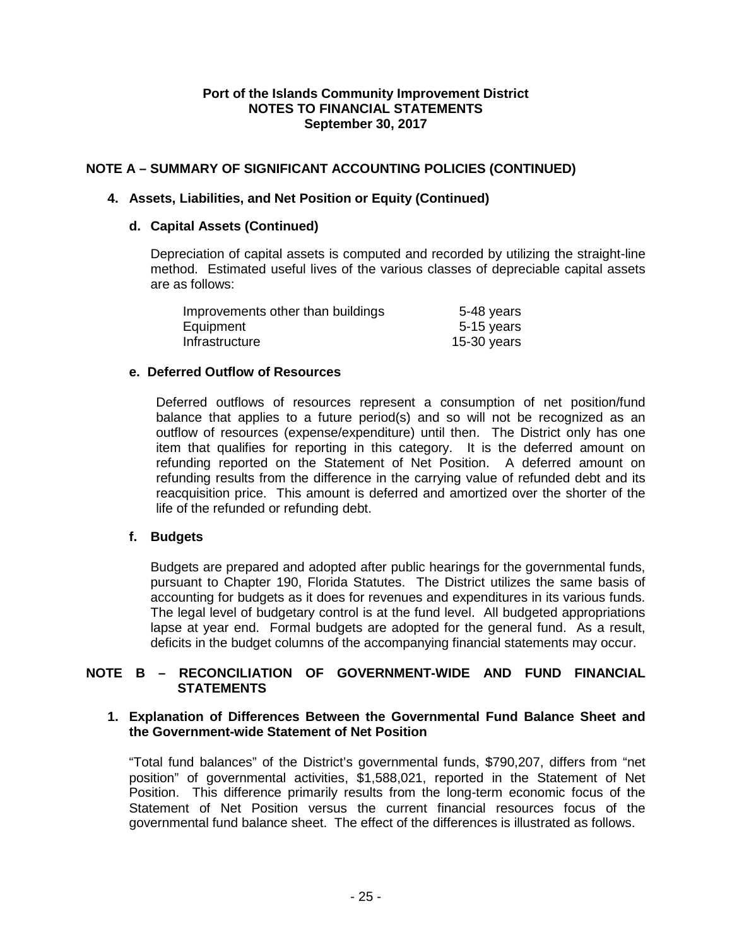## **NOTE A – SUMMARY OF SIGNIFICANT ACCOUNTING POLICIES (CONTINUED)**

#### **4. Assets, Liabilities, and Net Position or Equity (Continued)**

#### **d. Capital Assets (Continued)**

Depreciation of capital assets is computed and recorded by utilizing the straight-line method. Estimated useful lives of the various classes of depreciable capital assets are as follows:

| Improvements other than buildings | 5-48 years    |
|-----------------------------------|---------------|
| Equipment                         | 5-15 years    |
| Infrastructure                    | $15-30$ years |

#### **e. Deferred Outflow of Resources**

Deferred outflows of resources represent a consumption of net position/fund balance that applies to a future period(s) and so will not be recognized as an outflow of resources (expense/expenditure) until then. The District only has one item that qualifies for reporting in this category. It is the deferred amount on refunding reported on the Statement of Net Position. A deferred amount on refunding results from the difference in the carrying value of refunded debt and its reacquisition price. This amount is deferred and amortized over the shorter of the life of the refunded or refunding debt.

### **f. Budgets**

Budgets are prepared and adopted after public hearings for the governmental funds, pursuant to Chapter 190, Florida Statutes. The District utilizes the same basis of accounting for budgets as it does for revenues and expenditures in its various funds. The legal level of budgetary control is at the fund level. All budgeted appropriations lapse at year end. Formal budgets are adopted for the general fund. As a result, deficits in the budget columns of the accompanying financial statements may occur.

#### **NOTE B – RECONCILIATION OF GOVERNMENT-WIDE AND FUND FINANCIAL STATEMENTS**

#### **1. Explanation of Differences Between the Governmental Fund Balance Sheet and the Government-wide Statement of Net Position**

"Total fund balances" of the District's governmental funds, \$790,207, differs from "net position" of governmental activities, \$1,588,021, reported in the Statement of Net Position. This difference primarily results from the long-term economic focus of the Statement of Net Position versus the current financial resources focus of the governmental fund balance sheet. The effect of the differences is illustrated as follows.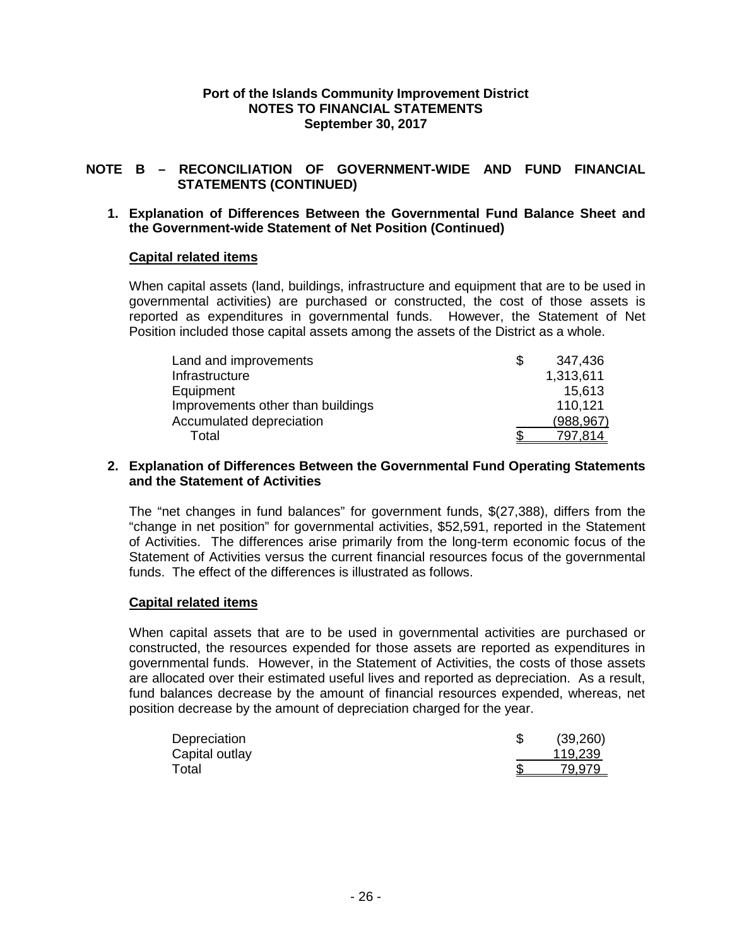### **NOTE B – RECONCILIATION OF GOVERNMENT-WIDE AND FUND FINANCIAL STATEMENTS (CONTINUED)**

**1. Explanation of Differences Between the Governmental Fund Balance Sheet and the Government-wide Statement of Net Position (Continued)**

#### **Capital related items**

When capital assets (land, buildings, infrastructure and equipment that are to be used in governmental activities) are purchased or constructed, the cost of those assets is reported as expenditures in governmental funds. However, the Statement of Net Position included those capital assets among the assets of the District as a whole.

| Land and improvements             | 347,436    |
|-----------------------------------|------------|
| Infrastructure                    | 1,313,611  |
| Equipment                         | 15,613     |
| Improvements other than buildings | 110.121    |
| Accumulated depreciation          | (988, 967) |
| Total                             | 797,814    |

#### **2. Explanation of Differences Between the Governmental Fund Operating Statements and the Statement of Activities**

The "net changes in fund balances" for government funds, \$(27,388), differs from the "change in net position" for governmental activities, \$52,591, reported in the Statement of Activities. The differences arise primarily from the long-term economic focus of the Statement of Activities versus the current financial resources focus of the governmental funds. The effect of the differences is illustrated as follows.

#### **Capital related items**

When capital assets that are to be used in governmental activities are purchased or constructed, the resources expended for those assets are reported as expenditures in governmental funds. However, in the Statement of Activities, the costs of those assets are allocated over their estimated useful lives and reported as depreciation. As a result, fund balances decrease by the amount of financial resources expended, whereas, net position decrease by the amount of depreciation charged for the year.

| Depreciation   | (39,260) |
|----------------|----------|
| Capital outlay | 119,239  |
| Total          | 79,979   |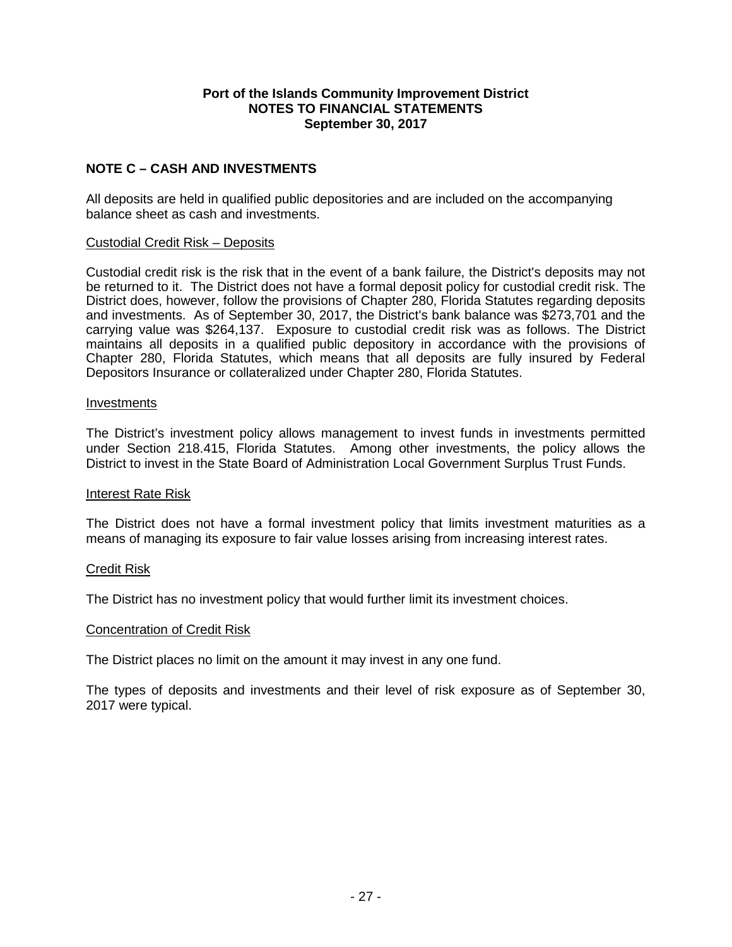## **NOTE C – CASH AND INVESTMENTS**

All deposits are held in qualified public depositories and are included on the accompanying balance sheet as cash and investments.

#### Custodial Credit Risk – Deposits

Custodial credit risk is the risk that in the event of a bank failure, the District's deposits may not be returned to it. The District does not have a formal deposit policy for custodial credit risk. The District does, however, follow the provisions of Chapter 280, Florida Statutes regarding deposits and investments. As of September 30, 2017, the District's bank balance was \$273,701 and the carrying value was \$264,137. Exposure to custodial credit risk was as follows. The District maintains all deposits in a qualified public depository in accordance with the provisions of Chapter 280, Florida Statutes, which means that all deposits are fully insured by Federal Depositors Insurance or collateralized under Chapter 280, Florida Statutes.

#### **Investments**

The District's investment policy allows management to invest funds in investments permitted under Section 218.415, Florida Statutes. Among other investments, the policy allows the District to invest in the State Board of Administration Local Government Surplus Trust Funds.

#### Interest Rate Risk

The District does not have a formal investment policy that limits investment maturities as a means of managing its exposure to fair value losses arising from increasing interest rates.

#### Credit Risk

The District has no investment policy that would further limit its investment choices.

#### Concentration of Credit Risk

The District places no limit on the amount it may invest in any one fund.

The types of deposits and investments and their level of risk exposure as of September 30, 2017 were typical.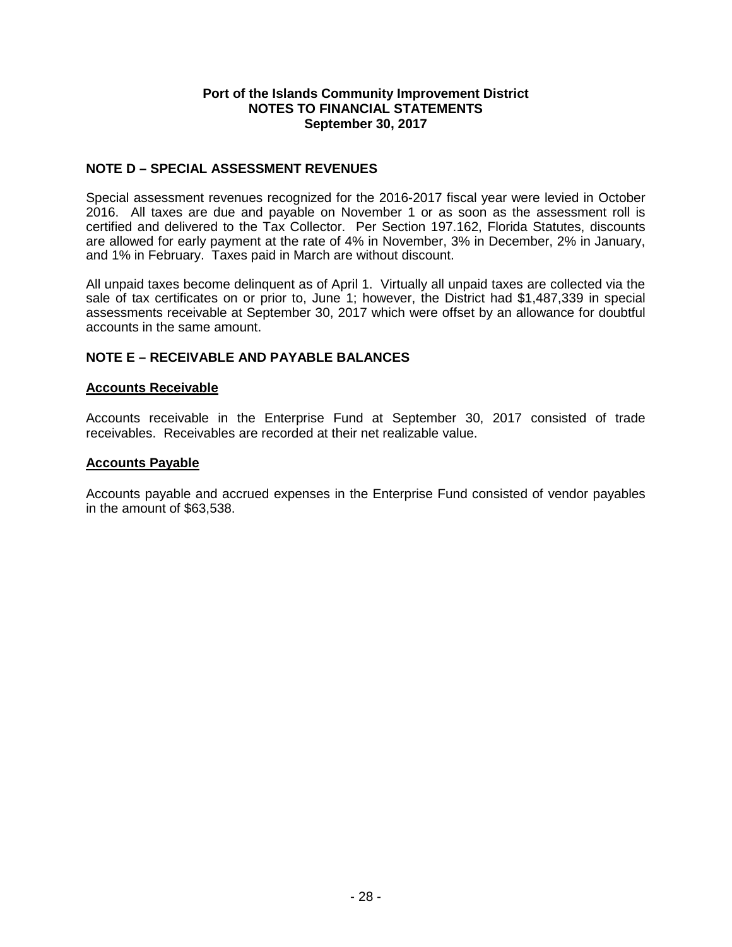### **NOTE D – SPECIAL ASSESSMENT REVENUES**

Special assessment revenues recognized for the 2016-2017 fiscal year were levied in October 2016. All taxes are due and payable on November 1 or as soon as the assessment roll is certified and delivered to the Tax Collector. Per Section 197.162, Florida Statutes, discounts are allowed for early payment at the rate of 4% in November, 3% in December, 2% in January, and 1% in February. Taxes paid in March are without discount.

All unpaid taxes become delinquent as of April 1. Virtually all unpaid taxes are collected via the sale of tax certificates on or prior to, June 1; however, the District had \$1,487,339 in special assessments receivable at September 30, 2017 which were offset by an allowance for doubtful accounts in the same amount.

## **NOTE E – RECEIVABLE AND PAYABLE BALANCES**

#### **Accounts Receivable**

Accounts receivable in the Enterprise Fund at September 30, 2017 consisted of trade receivables. Receivables are recorded at their net realizable value.

#### **Accounts Payable**

Accounts payable and accrued expenses in the Enterprise Fund consisted of vendor payables in the amount of \$63,538.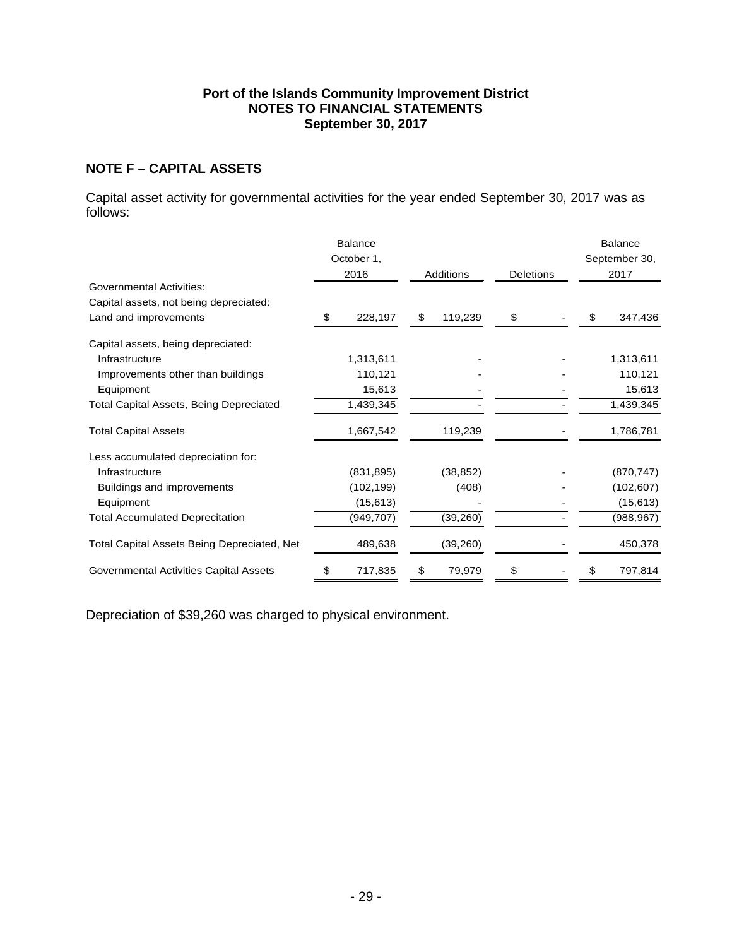## **NOTE F – CAPITAL ASSETS**

Capital asset activity for governmental activities for the year ended September 30, 2017 was as follows:

|                                                    | <b>Balance</b> |           |           |           |      | <b>Balance</b> |
|----------------------------------------------------|----------------|-----------|-----------|-----------|------|----------------|
|                                                    | October 1,     |           |           |           |      | September 30,  |
|                                                    | 2016           | Additions |           | Deletions | 2017 |                |
| <b>Governmental Activities:</b>                    |                |           |           |           |      |                |
| Capital assets, not being depreciated:             |                |           |           |           |      |                |
| Land and improvements                              | \$<br>228,197  | \$        | 119,239   | \$        | \$   | 347,436        |
| Capital assets, being depreciated:                 |                |           |           |           |      |                |
| Infrastructure                                     | 1,313,611      |           |           |           |      | 1,313,611      |
| Improvements other than buildings                  | 110,121        |           |           |           |      | 110,121        |
| Equipment                                          | 15,613         |           |           |           |      | 15,613         |
| <b>Total Capital Assets, Being Depreciated</b>     | 1,439,345      |           |           |           |      | 1,439,345      |
| <b>Total Capital Assets</b>                        | 1,667,542      |           | 119,239   |           |      | 1,786,781      |
| Less accumulated depreciation for:                 |                |           |           |           |      |                |
| Infrastructure                                     | (831, 895)     |           | (38, 852) |           |      | (870, 747)     |
| Buildings and improvements                         | (102, 199)     |           | (408)     |           |      | (102, 607)     |
| Equipment                                          | (15, 613)      |           |           |           |      | (15, 613)      |
| <b>Total Accumulated Deprecitation</b>             | (949, 707)     |           | (39, 260) |           |      | (988, 967)     |
| <b>Total Capital Assets Being Depreciated, Net</b> | 489,638        |           | (39,260)  |           |      | 450,378        |
| Governmental Activities Capital Assets             | \$<br>717,835  | \$        | 79,979    | \$        | \$   | 797,814        |

Depreciation of \$39,260 was charged to physical environment.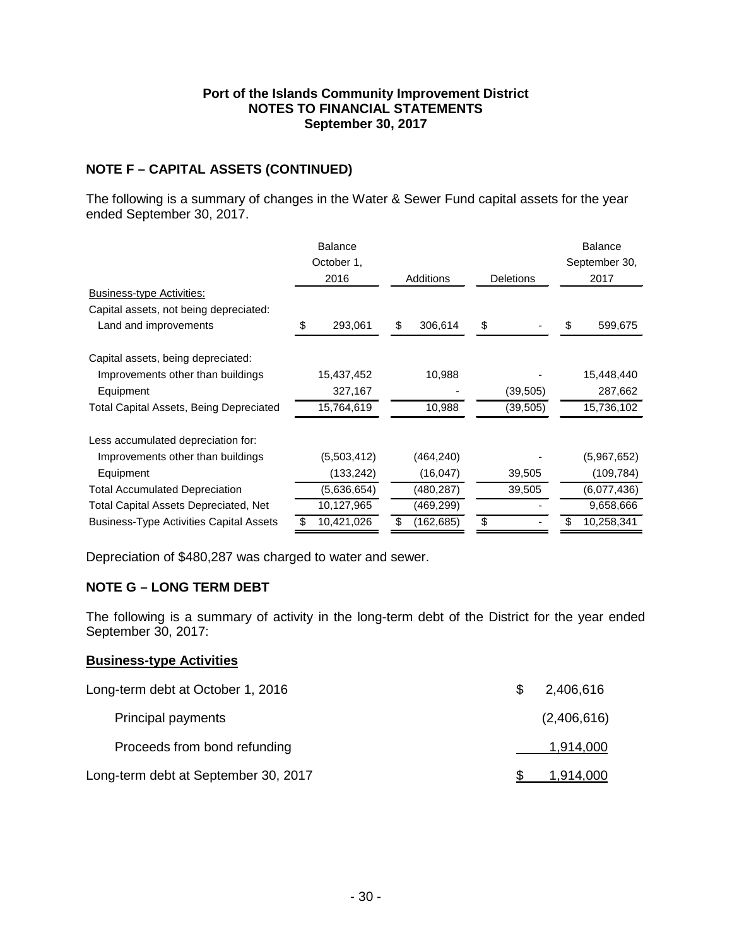# **NOTE F – CAPITAL ASSETS (CONTINUED)**

The following is a summary of changes in the Water & Sewer Fund capital assets for the year ended September 30, 2017.

|                                                | <b>Balance</b> |           |            |                  |           |    | <b>Balance</b> |
|------------------------------------------------|----------------|-----------|------------|------------------|-----------|----|----------------|
|                                                | October 1,     |           |            |                  |           |    | September 30,  |
|                                                | 2016           | Additions |            | <b>Deletions</b> |           |    | 2017           |
| <b>Business-type Activities:</b>               |                |           |            |                  |           |    |                |
| Capital assets, not being depreciated:         |                |           |            |                  |           |    |                |
| Land and improvements                          | \$<br>293,061  | \$        | 306,614    | \$               |           | \$ | 599,675        |
| Capital assets, being depreciated:             |                |           |            |                  |           |    |                |
| Improvements other than buildings              | 15,437,452     |           | 10,988     |                  |           |    | 15,448,440     |
| Equipment                                      | 327,167        |           |            |                  | (39, 505) |    | 287,662        |
| Total Capital Assets, Being Depreciated        | 15,764,619     |           | 10,988     |                  | (39, 505) |    | 15,736,102     |
| Less accumulated depreciation for:             |                |           |            |                  |           |    |                |
| Improvements other than buildings              | (5,503,412)    |           | (464, 240) |                  |           |    | (5,967,652)    |
| Equipment                                      | (133, 242)     |           | (16, 047)  |                  | 39,505    |    | (109, 784)     |
| <b>Total Accumulated Depreciation</b>          | (5,636,654)    |           | (480, 287) |                  | 39,505    |    | (6,077,436)    |
| Total Capital Assets Depreciated, Net          | 10,127,965     |           | (469,299)  |                  |           |    | 9,658,666      |
| <b>Business-Type Activities Capital Assets</b> | 10,421,026     |           | (162, 685) | \$               |           | S  | 10,258,341     |

Depreciation of \$480,287 was charged to water and sewer.

## **NOTE G – LONG TERM DEBT**

The following is a summary of activity in the long-term debt of the District for the year ended September 30, 2017:

### **Business-type Activities**

| Long-term debt at October 1, 2016    | SS. | 2,406,616   |
|--------------------------------------|-----|-------------|
| Principal payments                   |     | (2,406,616) |
| Proceeds from bond refunding         |     | 1,914,000   |
| Long-term debt at September 30, 2017 |     | 1.914.000   |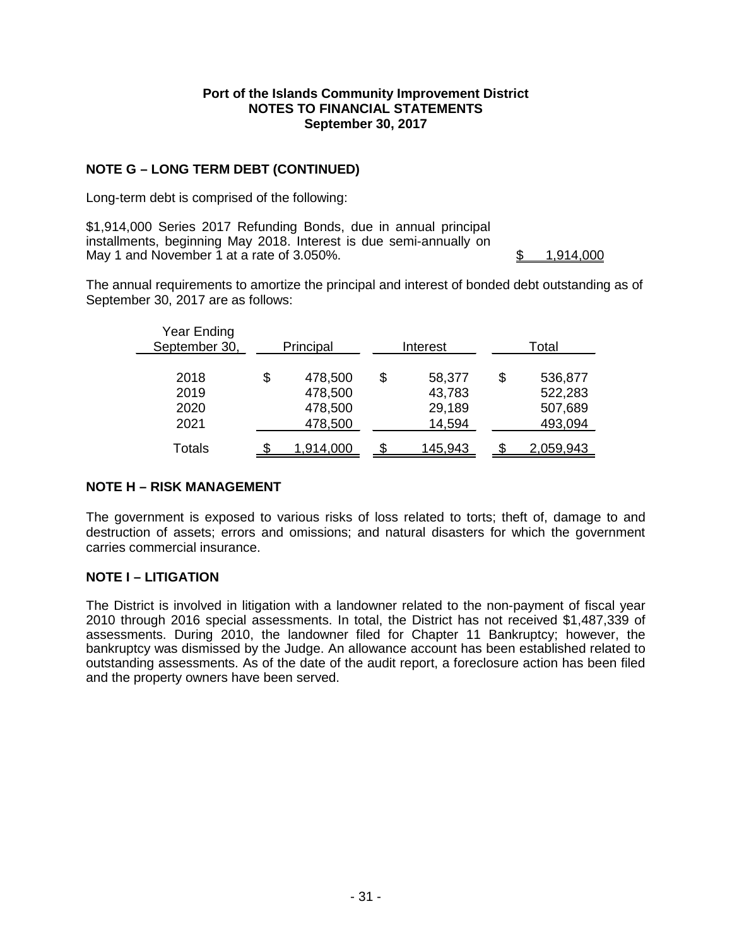## **NOTE G – LONG TERM DEBT (CONTINUED)**

Long-term debt is comprised of the following:

\$1,914,000 Series 2017 Refunding Bonds, due in annual principal installments, beginning May 2018. Interest is due semi-annually on May 1 and November 1 at a rate of 3.050%.  $$ 1,914,000$ 

The annual requirements to amortize the principal and interest of bonded debt outstanding as of September 30, 2017 are as follows:

| Year Ending<br>September 30, | Principal                                      | Interest |                                      | Total                                          |
|------------------------------|------------------------------------------------|----------|--------------------------------------|------------------------------------------------|
| 2018<br>2019<br>2020<br>2021 | \$<br>478,500<br>478,500<br>478,500<br>478,500 | \$       | 58,377<br>43,783<br>29,189<br>14,594 | \$<br>536,877<br>522,283<br>507,689<br>493,094 |
| <b>Totals</b>                | 1,914,000                                      |          | 145,943                              | 2,059,943                                      |

### **NOTE H – RISK MANAGEMENT**

The government is exposed to various risks of loss related to torts; theft of, damage to and destruction of assets; errors and omissions; and natural disasters for which the government carries commercial insurance.

### **NOTE I – LITIGATION**

The District is involved in litigation with a landowner related to the non-payment of fiscal year 2010 through 2016 special assessments. In total, the District has not received \$1,487,339 of assessments. During 2010, the landowner filed for Chapter 11 Bankruptcy; however, the bankruptcy was dismissed by the Judge. An allowance account has been established related to outstanding assessments. As of the date of the audit report, a foreclosure action has been filed and the property owners have been served.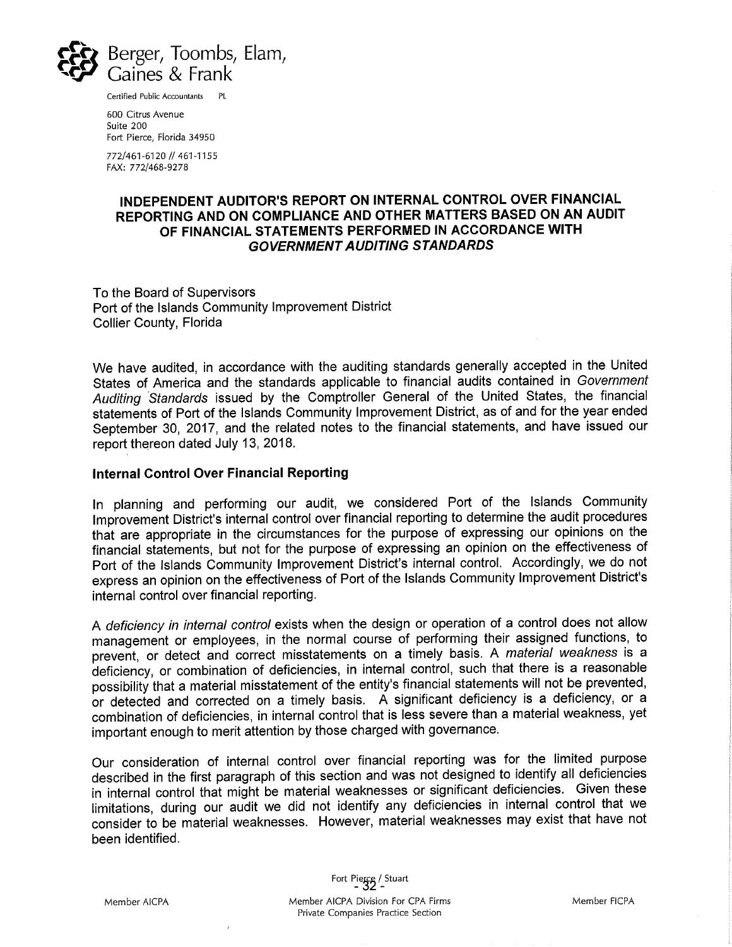

Certified Public Accountants

600 Citrus Avenue Suite 200 Fort Pierce, Florida 34950

772/461-6120 // 461-1155 FAX: 772/468-9278

#### INDEPENDENT AUDITOR'S REPORT ON INTERNAL CONTROL OVER FINANCIAL REPORTING AND ON COMPLIANCE AND OTHER MATTERS BASED ON AN AUDIT OF FINANCIAL STATEMENTS PERFORMED IN ACCORDANCE WITH **GOVERNMENT AUDITING STANDARDS**

To the Board of Supervisors Port of the Islands Community Improvement District Collier County, Florida

We have audited, in accordance with the auditing standards generally accepted in the United States of America and the standards applicable to financial audits contained in Government Auditing Standards issued by the Comptroller General of the United States, the financial statements of Port of the Islands Community Improvement District, as of and for the year ended September 30, 2017, and the related notes to the financial statements, and have issued our report thereon dated July 13, 2018.

#### **Internal Control Over Financial Reporting**

In planning and performing our audit, we considered Port of the Islands Community Improvement District's internal control over financial reporting to determine the audit procedures that are appropriate in the circumstances for the purpose of expressing our opinions on the financial statements, but not for the purpose of expressing an opinion on the effectiveness of Port of the Islands Community Improvement District's internal control. Accordingly, we do not express an opinion on the effectiveness of Port of the Islands Community Improvement District's internal control over financial reporting.

A deficiency in internal control exists when the design or operation of a control does not allow management or employees, in the normal course of performing their assigned functions, to prevent, or detect and correct misstatements on a timely basis. A material weakness is a deficiency, or combination of deficiencies, in internal control, such that there is a reasonable possibility that a material misstatement of the entity's financial statements will not be prevented, or detected and corrected on a timely basis. A significant deficiency is a deficiency, or a combination of deficiencies, in internal control that is less severe than a material weakness, yet important enough to merit attention by those charged with governance.

Our consideration of internal control over financial reporting was for the limited purpose described in the first paragraph of this section and was not designed to identify all deficiencies in internal control that might be material weaknesses or significant deficiencies. Given these limitations, during our audit we did not identify any deficiencies in internal control that we consider to be material weaknesses. However, material weaknesses may exist that have not been identified.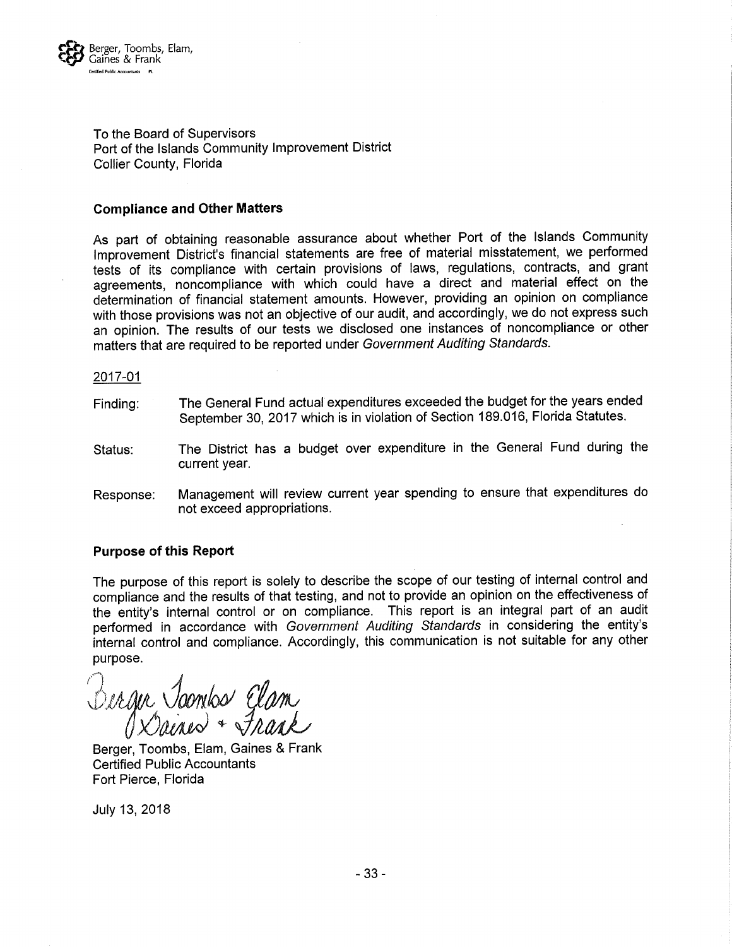

To the Board of Supervisors Port of the Islands Community Improvement District Collier County, Florida

#### **Compliance and Other Matters**

As part of obtaining reasonable assurance about whether Port of the Islands Community Improvement District's financial statements are free of material misstatement, we performed tests of its compliance with certain provisions of laws, regulations, contracts, and grant agreements, noncompliance with which could have a direct and material effect on the determination of financial statement amounts. However, providing an opinion on compliance with those provisions was not an objective of our audit, and accordingly, we do not express such an opinion. The results of our tests we disclosed one instances of noncompliance or other matters that are required to be reported under Government Auditing Standards.

2017-01

- The General Fund actual expenditures exceeded the budget for the years ended Finding: September 30, 2017 which is in violation of Section 189.016, Florida Statutes.
- The District has a budget over expenditure in the General Fund during the Status: current year.
- Management will review current year spending to ensure that expenditures do Response: not exceed appropriations.

#### **Purpose of this Report**

The purpose of this report is solely to describe the scope of our testing of internal control and compliance and the results of that testing, and not to provide an opinion on the effectiveness of the entity's internal control or on compliance. This report is an integral part of an audit performed in accordance with Government Auditing Standards in considering the entity's internal control and compliance. Accordingly, this communication is not suitable for any other purpose.

Bergir Joonibo Elam

Berger, Toombs, Elam, Gaines & Frank **Certified Public Accountants** Fort Pierce, Florida

July 13, 2018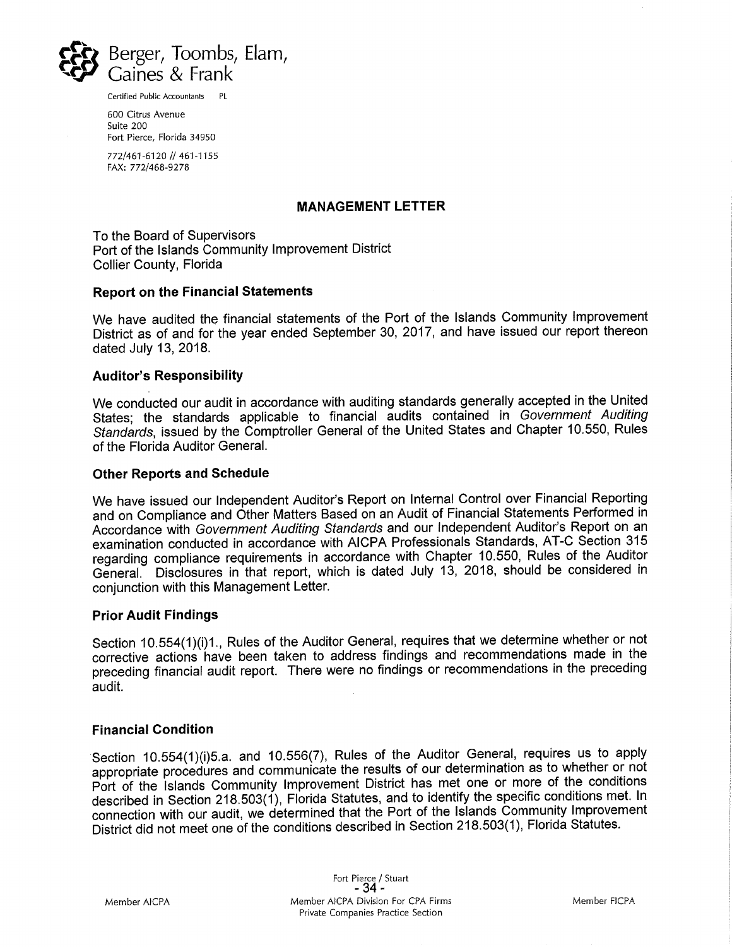

Certified Public Accountants

600 Citrus Avenue Suite 200 Fort Pierce, Florida 34950

772/461-6120 // 461-1155 FAX: 772/468-9278

#### **MANAGEMENT LETTER**

To the Board of Supervisors Port of the Islands Community Improvement District **Collier County, Florida** 

#### **Report on the Financial Statements**

We have audited the financial statements of the Port of the Islands Community Improvement District as of and for the year ended September 30, 2017, and have issued our report thereon dated July 13, 2018.

#### **Auditor's Responsibility**

We conducted our audit in accordance with auditing standards generally accepted in the United States: the standards applicable to financial audits contained in Government Auditing Standards, issued by the Comptroller General of the United States and Chapter 10.550, Rules of the Florida Auditor General.

#### **Other Reports and Schedule**

We have issued our Independent Auditor's Report on Internal Control over Financial Reporting and on Compliance and Other Matters Based on an Audit of Financial Statements Performed in Accordance with Government Auditing Standards and our Independent Auditor's Report on an examination conducted in accordance with AICPA Professionals Standards, AT-C Section 315 regarding compliance requirements in accordance with Chapter 10.550, Rules of the Auditor General. Disclosures in that report, which is dated July 13, 2018, should be considered in conjunction with this Management Letter.

#### **Prior Audit Findings**

Section 10.554(1)(i)1., Rules of the Auditor General, requires that we determine whether or not corrective actions have been taken to address findings and recommendations made in the preceding financial audit report. There were no findings or recommendations in the preceding audit.

#### **Financial Condition**

Section 10.554(1)(i)5.a. and 10.556(7), Rules of the Auditor General, requires us to apply appropriate procedures and communicate the results of our determination as to whether or not Port of the Islands Community Improvement District has met one or more of the conditions described in Section 218.503(1), Florida Statutes, and to identify the specific conditions met. In connection with our audit, we determined that the Port of the Islands Community Improvement District did not meet one of the conditions described in Section 218.503(1), Florida Statutes.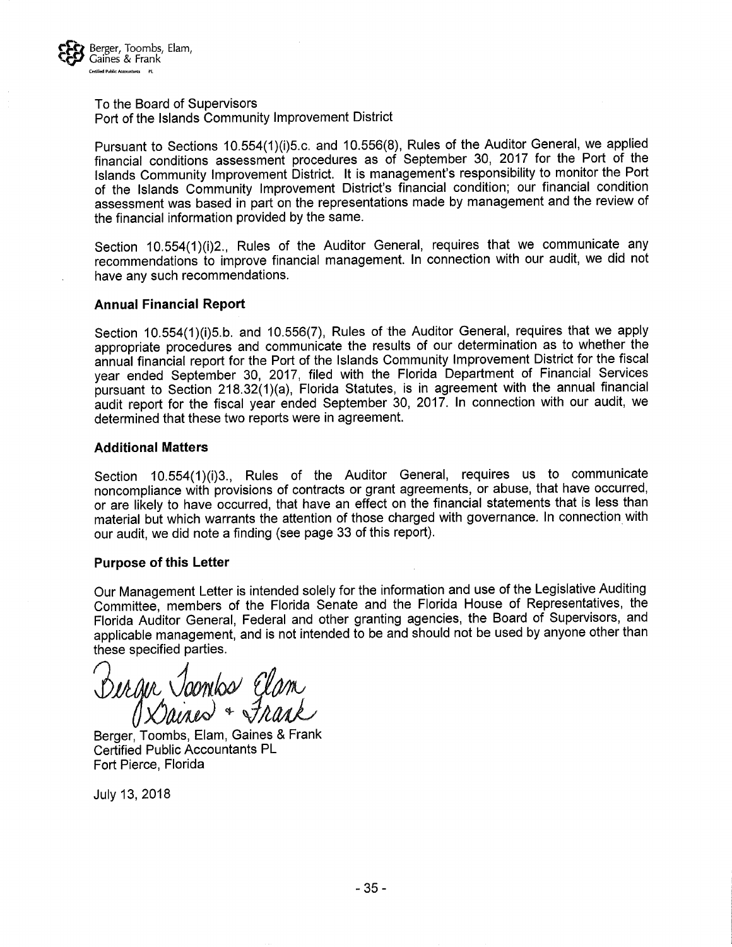

#### To the Board of Supervisors

Port of the Islands Community Improvement District

Pursuant to Sections 10.554(1)(i)5.c. and 10.556(8), Rules of the Auditor General, we applied financial conditions assessment procedures as of September 30, 2017 for the Port of the Islands Community Improvement District. It is management's responsibility to monitor the Port of the Islands Community Improvement District's financial condition; our financial condition assessment was based in part on the representations made by management and the review of the financial information provided by the same.

Section 10.554(1)(i)2., Rules of the Auditor General, requires that we communicate any recommendations to improve financial management. In connection with our audit, we did not have any such recommendations.

#### **Annual Financial Report**

Section 10.554(1)(i)5.b. and 10.556(7), Rules of the Auditor General, requires that we apply appropriate procedures and communicate the results of our determination as to whether the annual financial report for the Port of the Islands Community Improvement District for the fiscal year ended September 30, 2017, filed with the Florida Department of Financial Services pursuant to Section 218.32(1)(a), Florida Statutes, is in agreement with the annual financial audit report for the fiscal year ended September 30, 2017. In connection with our audit, we determined that these two reports were in agreement.

#### **Additional Matters**

Section 10.554(1)(i)3., Rules of the Auditor General, requires us to communicate noncompliance with provisions of contracts or grant agreements, or abuse, that have occurred, or are likely to have occurred, that have an effect on the financial statements that is less than material but which warrants the attention of those charged with governance. In connection with our audit, we did note a finding (see page 33 of this report).

#### **Purpose of this Letter**

Our Management Letter is intended solely for the information and use of the Legislative Auditing Committee, members of the Florida Senate and the Florida House of Representatives, the Florida Auditor General, Federal and other granting agencies, the Board of Supervisors, and applicable management, and is not intended to be and should not be used by anyone other than these specified parties.

"Bergir Joembo Elam

Berger, Toombs, Elam, Gaines & Frank **Certified Public Accountants PL** Fort Pierce, Florida

July 13, 2018